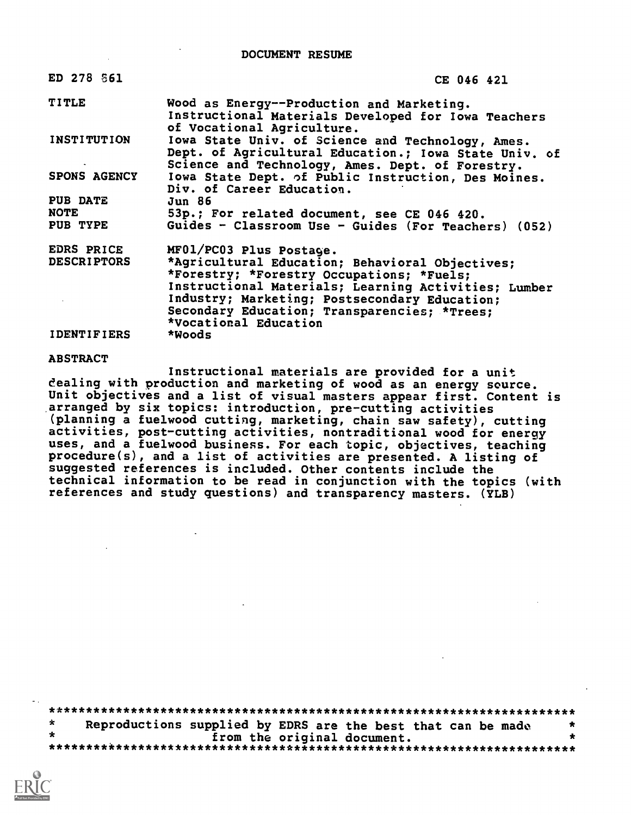DOCUMENT RESUME

| ED 278 861         | CE 046 421                                                                                                                                                     |
|--------------------|----------------------------------------------------------------------------------------------------------------------------------------------------------------|
| <b>TITLE</b>       | Wood as Energy--Production and Marketing.<br>Instructional Materials Developed for Iowa Teachers<br>of Vocational Agriculture.                                 |
| <b>INSTITUTION</b> | Iowa State Univ. of Science and Technology, Ames.<br>Dept. of Agricultural Education.; Iowa State Univ. of<br>Science and Technology, Ames. Dept. of Forestry. |
| SPONS AGENCY       | lowa State Dept. of Public Instruction, Des Moines.<br>Div. of Career Education.                                                                               |
| <b>PUB DATE</b>    | Jun 86                                                                                                                                                         |
| <b>NOTE</b>        | 53p.; For related document, see CE 046 420.                                                                                                                    |
| PUB TYPE           | Guides - Classroom Use - Guides (For Teachers) (052)                                                                                                           |
| EDRS PRICE         | MF01/PC03 Plus Postage.                                                                                                                                        |
| <b>DESCRIPTORS</b> | *Agricultural Education; Behavioral Objectives;<br>*Forestry; *Forestry Occupations; *Fuels;                                                                   |
|                    | Instructional Materials; Learning Activities; Lumber                                                                                                           |
|                    | Industry; Marketing; Postsecondary Education;                                                                                                                  |
|                    | Secondary Education; Transparencies; *Trees;                                                                                                                   |
|                    | *Vocational Education                                                                                                                                          |
| <b>IDENTIFIERS</b> | *Woods                                                                                                                                                         |

#### ABSTRACT

Instructional materials are provided for a unit dealing with production and marketing of wood as an energy source. Unit objectives and a list of visual masters appear first. Content is arranged by six topics: introduction, pre-cutting activities (planning a fuelwood cutting, marketing, chain saw safety), cutting activities, post-cutting activities, nontraditional wood for energy uses, and a fuelwood business. For each topic, objectives, teaching procedure(s), and a list of activities are presented. A listing of suggested references is included. Other contents include the technical information to be read in conjunction with the topics (with references and study questions) and transparency masters. (YLB)

\*\*\*\*\*\*\*\*\*\*\*\*\*\*\*\*\*\*\*\*\*\*\*\*\*\*\*\*\*\*\*\*\*\*\*\*\*\*\*\*\*\*\*\*\*\*\*\*\*\*\*\*\*\*\*\*\*\*\*\*\*\*\*\*\*\*\*\*\*\*\*  $\star$ Reproductions supplied by EDRS are the best that can be made from the original document. \*\*\*\*\*\*\*\*\*\*\*\*\*\*\*\*\*\*\*\*\*\*\*\*\*\*\*\*\*\*\*\*\*\*\*\*\*\*\*\*\*\*\*\*\*\*\*\*\*\*\*\*\*\*\*\*\*\*\*\*\*\*\*\*\*\*\*\*\*\*\*

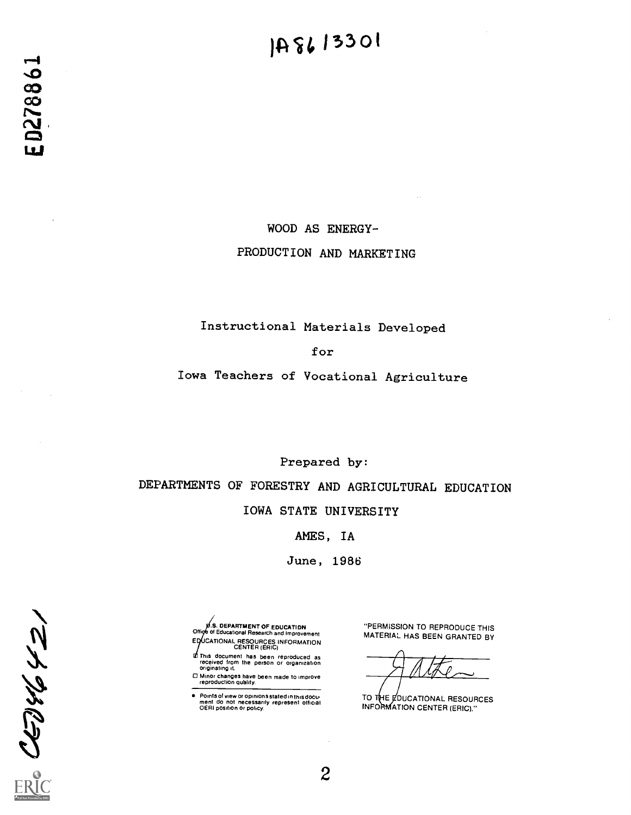### 148613301

WOOD AS ENERGY-PRODUCTION AND MARKETING

#### Instructional Materials Developed

for

Iowa Teachers of Vocational Agriculture

Prepared by:

DEPARTMENTS OF FORESTRY AND AGRICULTURAL EDUCATION

IOWA STATE UNIVERSITY

AMES, IA

June, 1986

.S. OEPARTMENT OF EDUCATIDN<br>Office of Educational Research and Improvement EQUCATIONAL RESOURCES INFORMATION<br>CENTER (ERIC)

This document has been reproduced as received from the person or organization originating it.

0 Minor changes have been made to improve reproduction quality.

Points of view or opinions stated in this document do not necessarily represent official OERI position or policy.

"PERMISSION TO REPRODUCE THIS MATERIAL HAS BEEN GRANTED BY

 $H$ ate

TO THE COUCATIONAL RESOURCES INFORMATION CENTER (ERIC)."

 $\frac{C}{C} \frac{1}{C} \frac{1}{C} \frac{1}{C} \frac{1}{C} \frac{1}{C} \frac{1}{C}$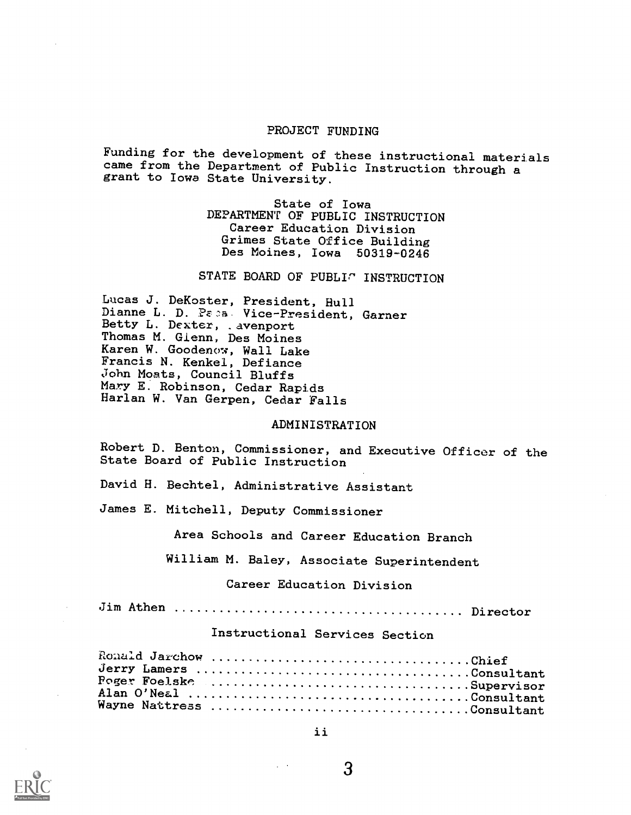#### PROJECT FUNDING

Funding for the development of these instructional materials came from the Department of Public Instruction through a grant to Iowa State University.

> State of Iowa DEPARTMENT OF PUBLIC INSTRUCTION Career Education Division Grimes State Office Building Des Moines, Iowa 50319-0246

STATE BOARD OF PUBLIC INSTRUCTION

Lucas J. DeKoster, President, Hull Dianne L. D. Paca. Vice-President, Garner Betty L. Dexter, .avenport Thomas M. Glenn, Des Moines Karen W. Goodenow, Wall Lake Francis N. Kenkel, Defiance John Moats, Council Bluffs Mary E. Robinson, Cedar Rapids Harlan W. Van Gerpen, Cedar Falls

#### ADMINISTRATION

Robert D. Benton, Commissioner, and Executive Officer of the State Board of Public Instruction

David H. Bechtel, Administrative Assistant

James E. Mitchell, Deputy Commissioner

Area Schools and Career Education Branch

William M. Baley, Associate Superintendent

#### Career Education Division

Jim Athen Director

#### Instructional Services Section

| Ronald Jarchow Chief      |  |
|---------------------------|--|
| Jerry Lamers Consultant   |  |
|                           |  |
|                           |  |
| Wayne Nattress Consultant |  |
|                           |  |

ii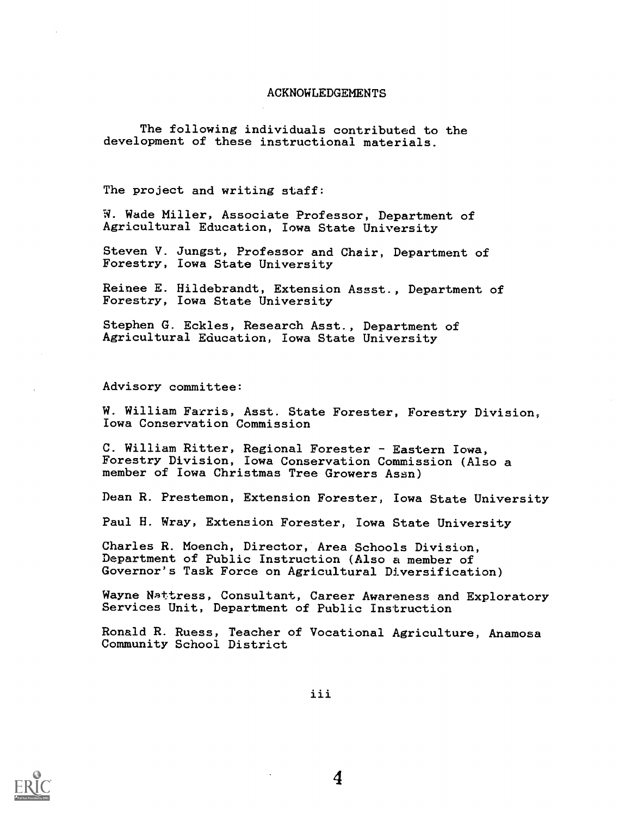#### ACKNOWLEDGEMENTS

The following individuals contributed to the development of these instructional materials.

The project and writing staff:

W. Wade Miller, Associate Professor, Department of Agricultural Education, Iowa State University

Steven V. Jungst, Professor and Chair, Department of Forestry, Iowa State University

Reinee E. Hildebrandt, Extension Assst., Department of Forestry, Iowa State University

Stephen G. Eckles, Research Asst., Department of Agricultural Education, Iowa State University

Advisory committee:

W. William Farris, Asst. State Forester, Forestry Division, Iowa Conservation Commission

C. William Ritter, Regional Forester - Eastern Iowa, Forestry Division, Iowa Conservation Commission (Also a member of Iowa Christmas Tree Growers Assn)

Dean R. Prestemon, Extension Forester, Iowa State University

Paul H. Wray, Extension Forester, Iowa State University

Charles R. Moench, Director, Area Schools Division, Department of Public Instruction (Also a member of Governor's Task Force on Agricultural Diversification)

Wayne Nattress, Consultant, Career Awareness and Exploratory Services Unit, Department of Public Instruction

Ronald R. Ruess, Teacher of Vocational Agriculture, Anamosa Community School District

iii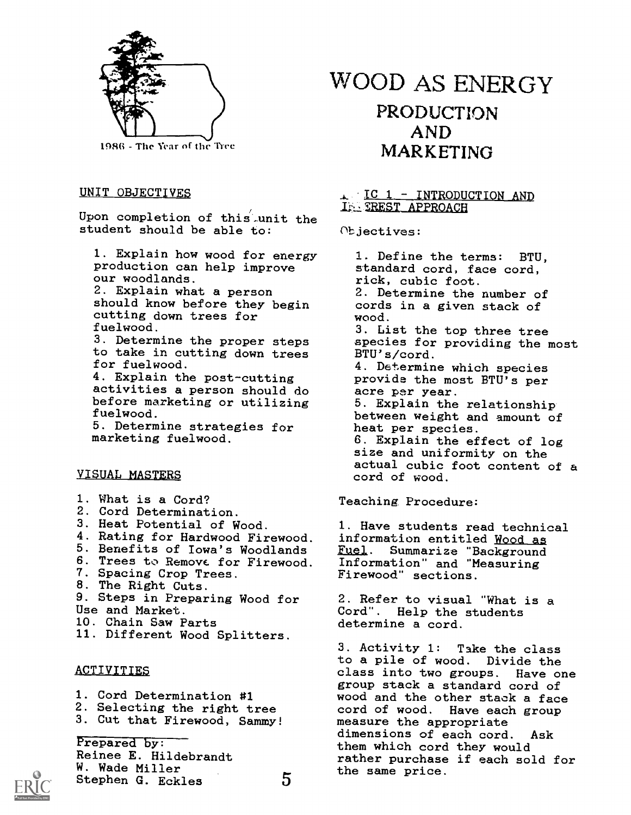

19S6 - The Year of the Tree

#### UNIT OBJECTIVES

Upon completion of this-unit the student should be able to:

1. Explain how wood for energy production can help improve our woodlands.

2. Explain what a person should know before they begin cutting down trees for fuelwood.

3. Determine the proper steps to take in cutting down trees for fuelwood.

4. Explain the post-cutting activities a person should do before marketing or utilizing fuelwood. 5. Determine strategies for

marketing fuelwood.

#### VISUAL MASTERS

- 1. What is a Cord?
- 2. Cord Determination.
- 3. Heat Potential of Wood.
- 4. Rating for Hardwood Firewood.
- 5. Benefits of Iowa's Woodlands
- 6. Trees to Remove. for Firewood.
- 7. Spacing Crop Trees.
- 8. The Right Cuts.
- 9. Steps in Preparing Wood for
- Use and Market.
- 10. Chain Saw Parts
- 11. Different Wood Splitters.

#### **ACTIVITIES**

- 1. Cord Determination #1
- 2. Selecting the right tree
- 3. Cut that Firewood, Sammy!

Prepared by: Reinee E. Hildebrandt W. Wade Miller Stephen G. Eckles 5

WOOD AS ENERGY PRODUCTION AND MARKETING

#### IC 1 - INTRODUCTION AND IN TREST APPROACH

Objectives:

1. Define the terms: BTU, standard cord, face cord, rick, cubic foot. 2. Determine the number of cords in a given stack of wood. 3. List the top three tree species for providing the most BTU's/cord. 4. Determine which species provide the most BTU's per acre per year. 5. Explain the relationship between weight and amount of heat per species. 6. Explain the effect of log size and uniformity on the actual cubic foot content of a cord of wood.

Teaching Procedure:

1. Have students read technical information entitled Wood as Fuel. Summarize "Background Information" and "Measuring Firewood" sections.

2. Refer to visual "What is a Cord". Help the students determine a cord.

3. Activity 1: Take the class to a pile of wood. Divide the class into two groups. Have one group stack a standard cord of wood and the other stack a face cord of wood. Have each group measure the appropriate dimensions of each cord. Ask them which cord they would rather purchase if each sold for the same price.

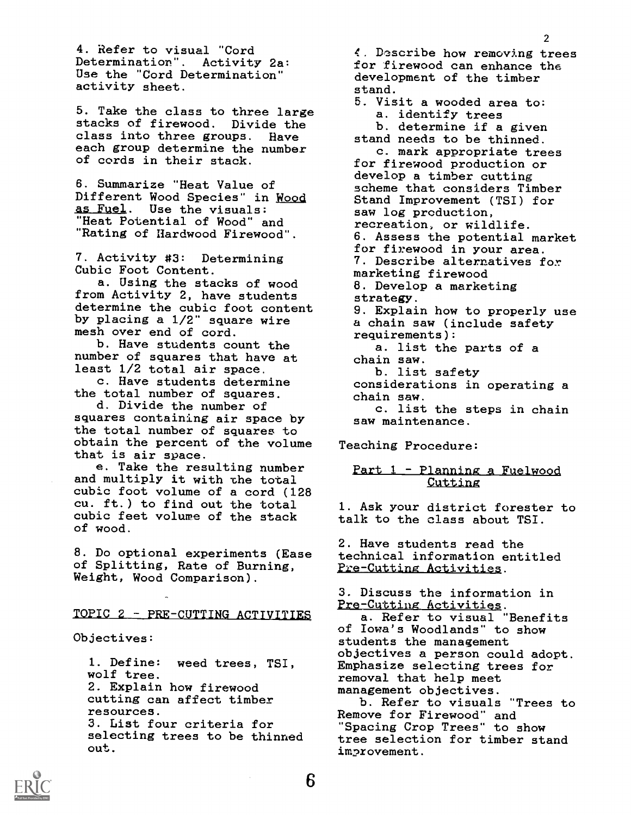4. Refer to visual "Cord Determination". Activity 2a: Use the "Cord Determination" activity sheet.

5. Take the class to three large stacks of firewood. Divide the class into three groups. Have each group determine the number of cords in their stack.

6. Summarize "Heat Value of Different Wood Species" in Wood as Fuel. Use the visuals: "Heat Potential of Wood" and "Rating of Hardwood Firewood".

7. Activity #3: Determining Cubic Foot Content.

a. Using the stacks of wood from Activity 2, have students determine the cubic foot content by placing a 1/2" square wire mesh over end of cord.

b. Have students count the number of squares that have at least 1/2 total air space.

c. Have students determine the total number of squares.

d. Divide the number of squares containing air space by the total number of squares to obtain the percent of the volume that is air space.

e. Take the resulting number and multiply it with the total cubic foot volume of a cord (128 cu. ft.) to find out the total cubic feet volume of the stack of wood.

8. Do optional experiments (Ease of Splitting, Rate of Burning, Weight, Wood Comparison).

#### TOPIC 2 - PRE-CUTTING ACTIVITIES

Objectives:

1. Define: weed trees, TSI, wolf tree. 2. Explain how firewood cutting can affect timber resources. 3. List four criteria for selecting trees to be thinned out.

4. Dcribe how removing trees for firewood can enhance the development of the timber stand.

- 5. Visit a wooded area to: a. identify trees
- b. determine if a given stand needs to be thinned.

c. mark appropriate trees for firewood production or develop a timber cutting scheme that considers Timber Stand Improvement (TSI) for saw log production, recreation, or wildlife. 6. Assess the potential market for firewood in your area. 7. Describe alternatives fox marketing firewood 8. Develop a marketing strategy. 9. Explain how to properly use a chain saw (include safety requirements): a. list the parts of a chain saw. b. list safety considerations in operating a

chain saw. c. list the steps in chain

saw maintenance.

Teaching Procedure:

#### Part 1 - Planning a Fuelwood **Cutting**

1. Ask your district forester to talk to the class about TSI.

2. Have students read the technical information entitled Pre-Cutting Activities.

3. Discuss the information in Pre-Cutting Activities.

a. Refer to visual "Benefits of Iowa's Woodlands" to show students the management objectives a person could adopt. Emphasize selecting trees for removal that help meet management objectives.

b. Refer to visuals "Trees to Remove for Firewood" and Spacing Crop Trees" to show tree selection for timber stand improvement.

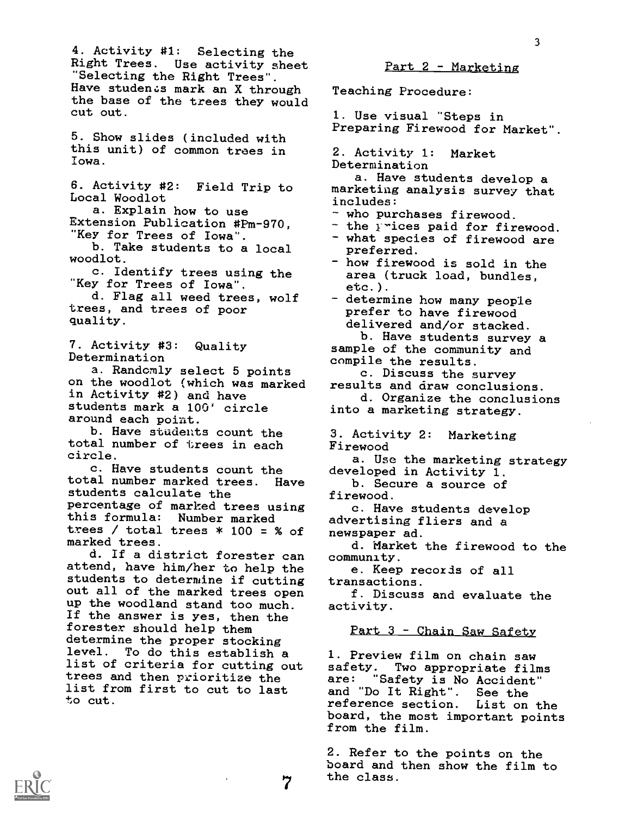4. Activity #1: Selecting the Right Trees. Use activity sheet "Selecting the Right Trees". Have students mark an X through the base of the trees they would cut out.

5. Show slides (included with this unit) of common trees in Iowa.

6. Activity #2: Field Trip to Local Woodlot

a. Explain how to use Extension Publication #Pm-970, "Key for Trees of Iowa".

b. Take students to a local woodlot.

c. Identify trees using the "Key for Trees of Iowa".

d. Flag all weed trees, wolf trees, and trees of poor quality.

7. Activity #3: Quality Determination

a. Randomly select 5 points on the woodlot (which was marked in Activity #2) and have students mark a 100' circle around each point.

b. Have students count the total number of trees in each circle.

c. Have students count the total number marked trees. Have students calculate the percentage of marked trees using this formula: Number marked trees / total trees  $*$  100 = % of marked trees.

d. If a district forester can attend, have him/her to help the students to determine if cutting out all of the marked trees open up the woodland stand too much. If the answer is yes, then the forester should help them determine the proper stocking level. To do this establish a list of criteria for cutting out trees and then prioritize the list from first to cut to last to cut.

 $Part 2 - Marketing$ 

Teaching Procedure:

1. Use visual "Steps in Preparing Firewood for Market".

2. Activity 1: Market Determination

a. Have students develop a marketing analysis survey that includes:

- who purchases firewood.
- the prices paid for firewood.
- what species of firewood are preferred.
- how firewood is sold in the area (truck load, bundles, etc.).
- determine how many people prefer to have firewood delivered and/or stacked.

b. Have students survey a sample of the community and compile the results.

c. Discuss the survey results and draw conclusions.

d. Organize the conclusions into a marketing strategy.

3. Activity 2: Marketing Firewood

a. Use the marketing strategy developed in Activity 1.

b. Secure a source of firewood.

- c. Have students develop advertising fliers and a newspaper ad.
- d. Market the firewood to the community.
- e. Keep recoxds of all transactions.

f. Discuss and evaluate the activity.

 $Part 3 - Chain$  Saw Safety

1. Preview film on chain saw safety. Two appropriate films are: "Safety is No Accident" and "Do It Right". See the reference section. List on the board, the most important points from the film.

7 the class.2. Refer to the points on the board and then show the film to

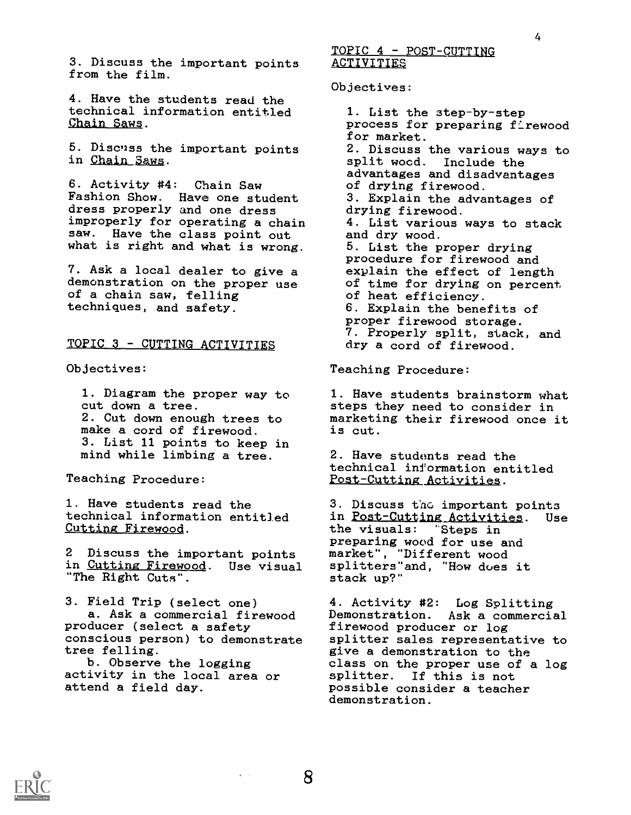3. Discuss the important points from the film.

4. Have the students read the technical information entitled Chain Saws.

5. Discnss the important points in Chain 3aws.

6. Activity #4: Chain Saw Fashion Show. Have one student dress properly and one dress improperly for operating a chain saw. Have the class point out what is right and what is wrong.

7. Ask a local dealer to give a demonstration on the proper use of a chain saw, felling techniques, and safety.

#### TOPIC 3 - CUTTING ACTIVITIES

Objectives:

1. Diagram the proper way to cut down a tree. 2. Cut down enough trees to make a cord of firewood. 3. List 11 points to keep in mind while limbing a tree.

Teaching Procedure:

1. Have students read the technical information entitled Cutting Firewood.

2 Discuss the important points in Cutting Firewood. Use visual "The Right Cuts".

3. Field Trip (select one) a. Ask a commercial firewood producer (select a safety conscious person) to demonstrate tree felling.

b. Observe the logging activity in the local area or attend a field day.

TOPIC 4 - POST-CUTTING **ACTIVITIES** 

Objectives:

1. List the step-by-step process for preparing firewood for market. 2. Discuss the various ways to split wood. Include the advantages and disadvantages of drying firewood. 3. Explain the advantages of drying firewood. 4. List various ways to stack and dry wood. 5. List the proper drying procedure for firewood and explain the effect of length of time for drying on percent of heat efficiency. 6. Explain the benefits of proper firewood storage. 7. Properly split, stack, and dry a cord of firewood.

Teaching Procedure:

1. Have students brainstorm what steps they need to consider in marketing their firewood once it is cut.

2. Have students read the technical information entitled Post-Cutting Activities.

3. Discuss the important points in Post-Gutting Activities. Use the visuals: 'Steps in preparing wood for use and market", "Different wood splitters"and, "How dues it stack up?"

4. Activity #2: Log Splitting Demonstration. Ask a commercial firewood producer or log splitter sales representative to give a demonstration to the class on the proper use of a log splitter. If this is not possible consider a teacher demonstration.



4

 $\hat{\mathbf{r}} = \hat{\mathbf{r}}$  .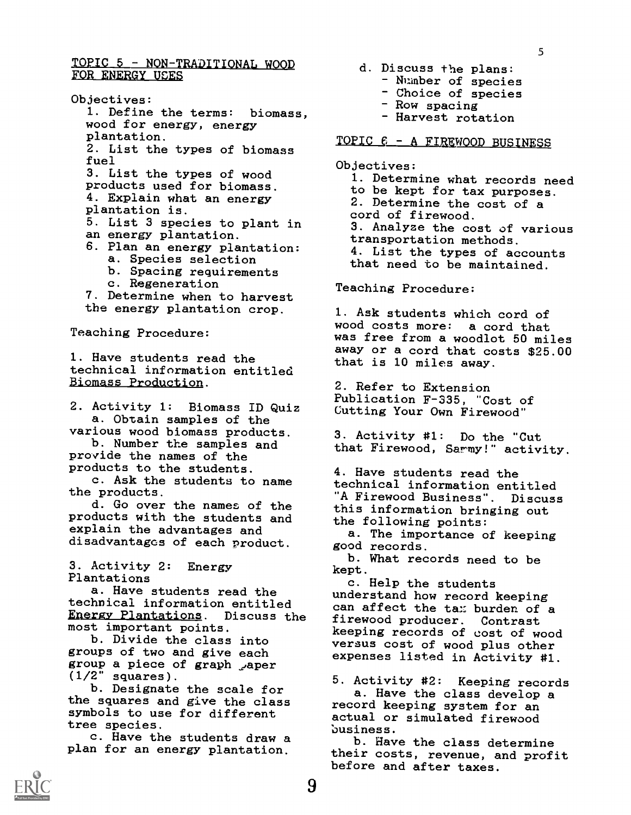#### TOPIC 5 - NON-TRADITIONAL WOOD FOR ENERGY USES

Objectives: 1. Define the terms: biomass wood for energy, energy plantation. 2. List the types of biomass fuel 3. List the types of wood products used for biomass. 4. Explain what an energy plantation is. 5. List 3 species to plant in an energy plantation. 6. Plan an energy plantation: a. Species selection b. Spacing requirements c. Regeneration 7. Determine when to harvest the energy plantation crop. Teaching Procedure: 1. Have students read the

technical information entitled Biomass Production.

2. Activity 1: Biomass ID Quiz a. Obtain samples of the various wood biomass products.

b. Number the samples and provide the names of the products to the students.

c. Ask the students to name the products.

d. Go over the names of the this products with the students and the explain the advantages and disadvantages of each product.

3. Activity 2: Energy Plantations

a. Have students read the technical information entitled Energy Plantations. Discuss the most important points.

b. Divide the class into groups of two and give each group a piece of graph aper  $(1/2"$  squares).

b. Designate the scale for the squares and give the class symbols to use for different tree species.

c. Have the students draw a plan for an energy plantation.

- d. Discuss the plans:
	- Number of species
	- Choice of species
	- Row spacing
	- Harvest rotation

#### TOPIC  $6 - A$  FIREWOOD BUSINESS

#### Objectives:

1. Determine what records need to be kept for tax purposes. 2. Determine the cost of a cord of firewood. 3. Analyze the cost of various transportation methods. 4. List the types of accounts that need to be maintained.

Teaching Procedure:

1. Ask students which cord of wood costs more: a cord that was free from a woodlot 50 miles away or a cord that costs \$25.00 that is 10 miles away.

2. Refer to Extension Publication F-335, "Cost of Gutting Your Own Firewood"

3. Activity #1: Do the "Cut that Firewood, Sarmy!" activity.

4. Have students read the technical information entitled "A Firewood Business". Discuss this information bringing out the following points:

a. The importance of keeping good records.

b. What records need to be kept.

c. Help the students understand how record keeping can affect the tax burden of a firewood producer. Contrast keeping records of cost of wood versus cost of wood plus other expenses listed in Activity #1.

5. Activity #2: Keeping records a. Have the class develop a record keeping system for an actual or simulated firewood business.

b. Have the class determine their costs, revenue, and profit before and after taxes.

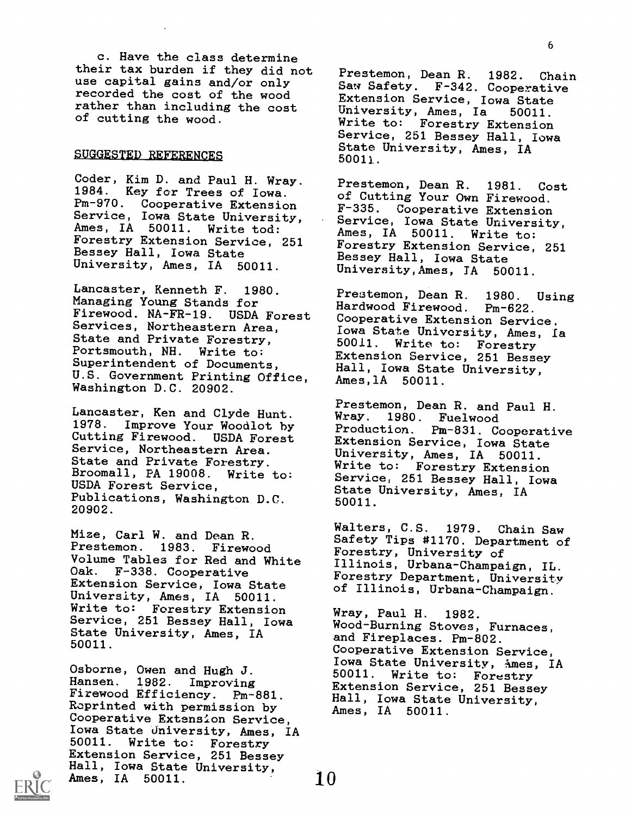c. Have the class determine their tax burden if they did not use capital gains and/or only recorded the cost of the wood rather than including the cost of cutting the wood.

#### .SUGGESTED REFERENCES

Coder, Kim D. and Paul H. Wray. 1984. Key for Trees of Iowa. Pm-970. Cooperative Extension F-335. Service, Iowa State University, Ames, IA 50011. Write tod: Forestry Extension Service, 251 Bessey Hall, Iowa State University, Ames, IA 50011.

Lancaster, Kenneth F. 1980. Managing Young Stands for Firewood. NA-FR-19. USDA Forest Services, Northeastern Area, State and Private Forestry, 50011.<br>Portsmouth, NH. Write to: Fxtens: Portsmouth, NH. Superintendent of Documents, U.S. Government Printing Office, Washington D.C. 20902.

Lancaster, Ken and Clyde Hunt. 1978. Improve Your Woodlot by Cutting Firewood. USDA Forest Service, Northeastern Area. State and Private Forestry. Broomall, PA 19008. Write to: USDA Forest Service, Publications, Washington D.C. 20902.

Mize, Carl W. and Dean R. Prestemon. 1983. Firewood Volume Tables for Red and White Oak. F-338. Cooperative Extension Service, Iowa State University, Ames, IA 50011. Write to: Forestry Extension Service, 251 Bessey Hall, Iowa State University, Ames, IA 50011.

Osborne, Owen and Hugh J. Hansen. 1982. Improving Firewood Efficiency. Pm-881. Roprinted with permission by Cooperative Extension Service, Iowa State University, Ames, IA<br>50011. Write to: Forestry Write to: Forestry Extension Service, 251 Bessey Hall, Iowa State University, Ames, IA 50011.

Prestemon, Dean R. 1982. Chain Saw Safety. F-342. Cooperative Extension Service, Iowa State<br>University, Ames, Ia 50011. University, Ames, Ia Write to: Forestry Extension Service, 251 Bessey Hall, Iowa State University, Ames, IA 50011.

Prestemon, Dean R. 1981. Cost of Cutting Your Own Firewood. Cooperative Extension Service, Iowa State University,<br>Ames, IA 50011. Write to: Ames, IA 50011. Forestry Extension Service, 251 Bessey Hall, Iowa State University,Ames, TA 50011.

Prestemon, Dean R. 1980. Using<br>Hardwood Firewood. Pm-622. Hardwood Firewood. Cooperative Extension Service, Iowa State University, Ames, Ia<br>50011. Write to: Forestry Forestry Extension Service, 251 Bessey Hall, Iowa State University, Ames,lA 50011.

Prestemon, Dean R. and Paul H. Wray. 1980. Fuelwood Production. Pm-831. Cooperative Extension Service, Iowa State University, Ames, IA 50011. Write to: Forestry Extension Service, 251 Bessey Hall, Iowa State University, Ames, IA 50011.

Walters, C.S. 1979. Chain Saw Safety Tips #1170. Department of Forestry, University of Illinois, Urbana-Champaign, IL. Forestry Department, University of Illinois, Urbana-Champaign.

Wray, Paul H. 1982. Wood-Burning Stoves, Furnaces, and Fireplaces. Pm-802. Cooperative Extension Service, Iowa State University, Ames, IA<br>50011. Write to: Forestry Write to: Forestry Extension Service, 251 Bessey Hall, Iowa State University, Ames, IA 50011.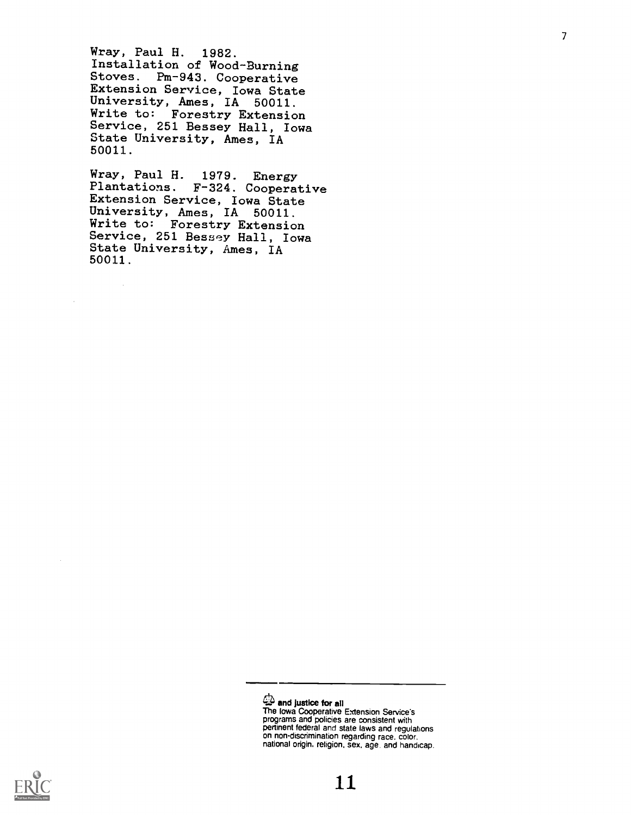Wray, Paul H. 1982. Installation of Wood-Burning Stoves. Pm-943. Cooperative Extension Service, Iowa State University, Ames, IA 50011. Write to: Forestry Extension Service, 251 Bessey Hall, Iowa State University, Ames, IA 50011.

Wray, Paul H. 1979. Energy<br>Plantations. F-324. Coopera F-324. Cooperative Extension Service, Iowa State University, Ames, IA 50011. Write to: Forestry Extension Service, 251 Bessey Hall, Iowa State University, Ames, IA 50011.



 $\omega$  and justice for all

The Iowa Cooperative Extension Service's programs and policies are consistent with pertinent federal and state laws and regulations on non-discrimination regarding race. color. national origin, religion, sex, age, and handicap.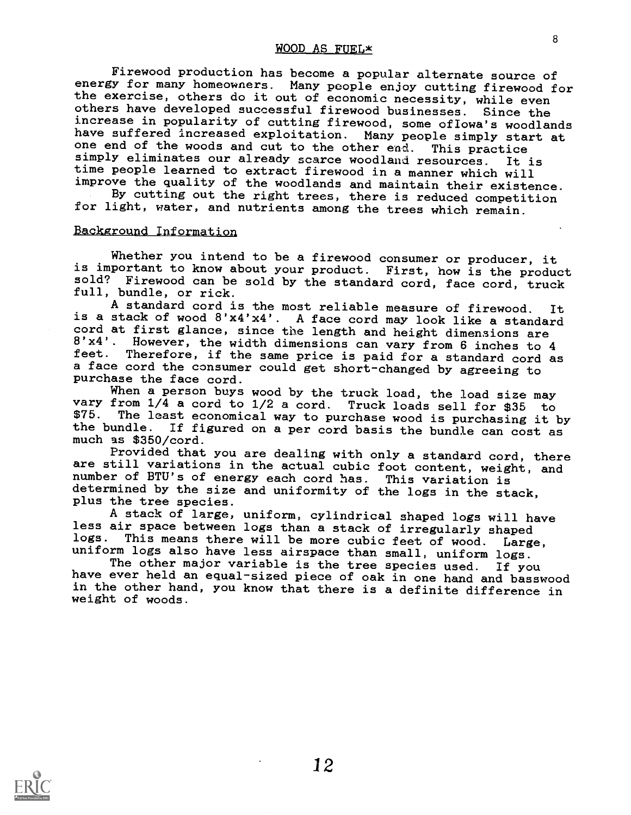#### WOOD AS FUEL\*

Firewood production has become a popular alternate source of energy for many homeowners. Many people enjoy cutting firewood for the exercise, others do it out of economic necessity, while even others have developed successful firewood businesses. Since the increase in popularity of cutting firewood, some ofIowa's woodlands have suffered increased exploitation. Many people simply start at one end of the woods and cut to the other end. This practice simply eliminates our already scarce woodland resources. It is time people learned to extract firewood in a manner which will improve the quality of the woodlands and maintain their existence.

By cutting out the right trees, there is reduced competition for light, water, and nutrients among the trees which remain.

#### Background Information

Whether you intend to be a firewood consumer or producer, it is important to know about your product. First, how is the product sold? Firewood can be sold by the standard cord, face cord, truck full, bundle, or rick.<br>A standard cord is the most reliable measure of firewood.

A standard cord is the most reliable measure of firewood. It is a stack of wood 8'x4'x4'. A face cord may look like a standard cord at first glance, since the length and height dimensions are  $8'x4'$ . However, the width dimensions can vary from 6 inches to 4 feet. Therefore, if the same price is paid for a standard such a Therefore, if the same price is paid for a standard cord as a face cord the consumer could get short-changed by agreeing to purchase the face cord.

When a person buys wood by the truck load, the load size may vary from 1/4 a cord to 1/2 a cord. Truck loads sell for \$35 to \$75. The least economical way to purchase wood is purchasing it by the bundle. If figured on a per cord basis the bundle can cost as much as \$350/cord.

Provided that you are dealing with only a standard cord, there are still variations in the actual cubic foot content, weight, and number of BTU's of energy each cord has. This variation is determined by the size and uniformity of the logs in the stack, plus the tree species.

A stack of large, uniform, cylindrical shaped logs will have less air space between logs than a stack of irregularly shaped<br>logs. This means there will be more cubic feet of wood. Large,

uniform logs also have less airspace than small, uniform logs.<br>The other major variable is the tree species used. If you<br>have ever held an equal-sized piece of oak in one hand and basswood in the other hand, you know that there is a definite difference in weight of woods.

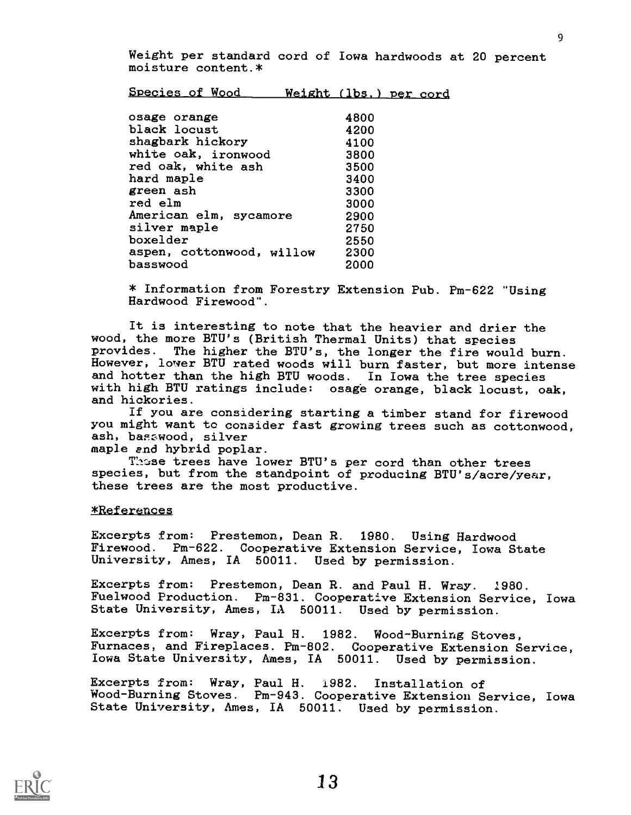Weight per standard cord of Iowa hardwoods at 20 percent moisture content.\*

| Species of Wood |  | Weight (lbs.) per cord |  |
|-----------------|--|------------------------|--|
|-----------------|--|------------------------|--|

| osage orange              | 4800 |  |
|---------------------------|------|--|
| black locust              | 4200 |  |
| shagbark hickory          | 4100 |  |
| white oak, ironwood       | 3800 |  |
| red oak, white ash        | 3500 |  |
| hard maple                | 3400 |  |
| green ash                 | 3300 |  |
| red elm                   | 3000 |  |
| American elm, sycamore    | 2900 |  |
| silver maple              | 2750 |  |
| boxelder                  | 2550 |  |
| aspen, cottonwood, willow | 2300 |  |
| basswood                  | 2000 |  |
|                           |      |  |

\* Information from Forestry Extension Pub. Pm-622 "Using Hardwood Firewood".

It is interesting to note that the heavier and drier the wood, the more BTU's (British Thermal Units) that species<br>provides. The higher the BTU's, the longer the fire would The higher the BTU's, the longer the fire would burn. However, lower BTU rated woods will burn faster, but more intense and hotter than the high BTU woods. In Iowa the tree species with high BTU ratings include: osage orange, black locust, oak, and hickories.

If you are considering starting a timber stand for firewood you might want to consider fast growing trees such as cottonwood, ash, basswood, silver

maple and hybrid poplar.

These trees have lower BTU's per cord than other trees species, but from the standpoint of producing BTU's/acre/year, these trees are the most productive.

#### \*References

Excerpts from: Prestemon, Dean R. 1980. Using Hardwood Firewood. Pm-622. Cooperative Extension Service, Iowa State University, Ames, IA 50011. Used by permission.

Excerpts from: Prestemon, Dean R. and Paul H. Wray. 1980. Fuelwood Production. Pm-831. Cooperative Extension Service, Iowa State University, Ames, IA 50011. Used by permission.

Excerpts from: Wray, Paul H. 1982. Wood-Burning Stoves, Furnaces, and Fireplaces. Pm-802. Cooperative Extension Service, Iowa State University, Ames, IA 50011. Used by permission.

Excerpts from: Wray, Paul H. 1982. Installation of Wood-Burning Stoves. Pm-943. Cooperative Extension Service, Iowa State University, Ames, IA 50011. Used by permission.

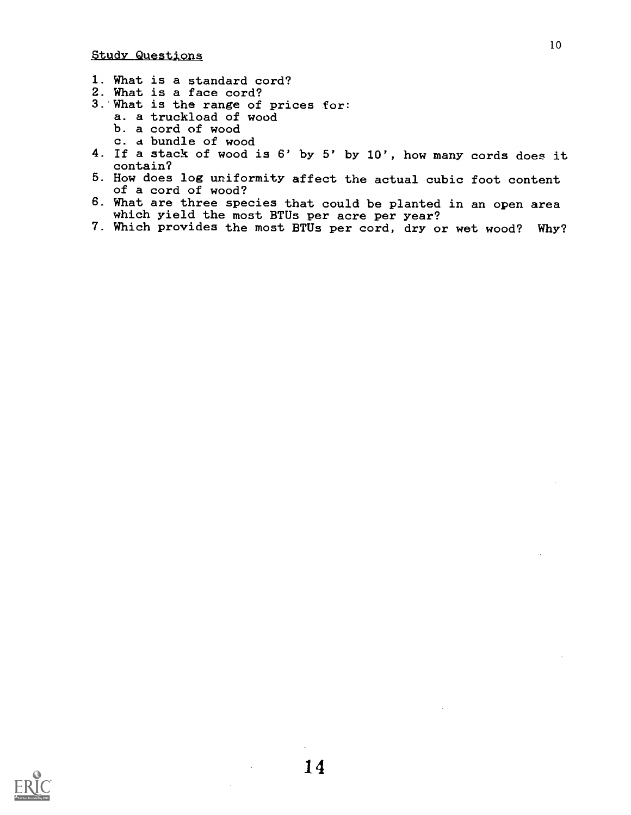- 1. What is a standard cord?
- 2. What is a face cord?
- 3. What is the range of prices for:
	- a. a truckload of wood
	- b. a cord of wood
	- c. a bundle of wood
- 4. If a stack of wood is 6' by 5' by 10', how many cords does it contain?
- 5. How does log uniformity affect the actual cubic foot content of a cord of wood?
- 6. What are three species that could be planted in an open area which yield the most BTUs per acre per year?
- 7. Which provides the most BTUs per cord, dry or wet wood? Why?

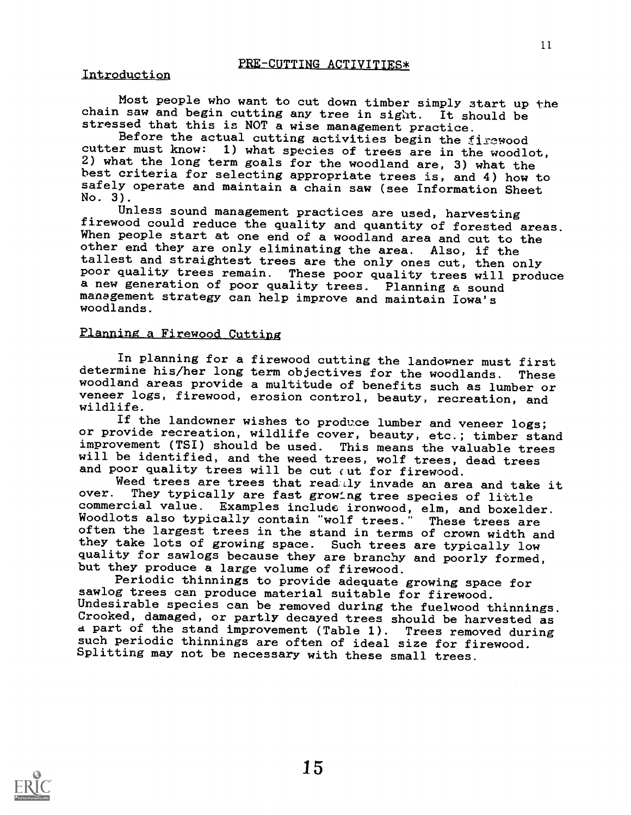#### Introduction

Most people who want to cut down timber simply start up the chain saw and begin cutting any tree in sight. It should be stressed that this is NOT a wise management practice.

Before the actual cutting activities begin the firewood cutter must know: 1) what species of trees are in the woodlot, 2) what the long term goals for the woodland are, 3) what the best criteria for selecting appropriate trees is, and 4) how to safely operate and maintain a chain saw (see Information Sheet No. 3).

Unless sound management practices are used, harvesting<br>firewood could reduce the quality and quantity of forested areas. When people start at one end of a woodland area and cut to the other end they are only eliminating the area. Also, if the tallest and straightest trees are the only ones cut, then only poor quality trees remain. These poor quality trees will produce a new generation of poor quality trees. Planning a sound management strategy can help improve and maintain Iowa's woodlands.

#### Planning a Firewood Cutting

In planning for a firewood cutting the landowner must first determine his/her long term objectives for the woodlands. These determine his/her long term objectives for the woodlands. These woodland areas provide a multitude of benefits such as lumber or veneer logs, firewood, erosion control, beauty, recreation, and wildlife.

If the landowner wishes to produce lumber and veneer logs; or provide recreation, wildlife cover, beauty, etc.; timber stand improvement (TSI) should be used. This means the valuable trees will be identified, and the weed trees, wolf trees, dead trees and poor quality trees will be cut out for firewood.

Weed trees are trees that readally invade an area and take it over. They typically are fast growing tree species of listic They typically are fast growing tree species of little commercial value. Examples include ironwood, elm, and boxelder.<br>Woodlots also typically contain "wolf trees." These trees are Woodlots also typically contain "wolf trees.' often the largest trees in the stand in terms of crown width and they take lots of growing space. Such trees are typically low quality for sawlogs because they are branchy and poorly formed, but they produce a large volume of firewood.<br>Periodic thinnings to provide adequate growing space for

sawlog trees can produce material suitable for firewood. Undesirable species can be removed during the fuelwood thinnings. Crooked, damaged, or partly decayed trees should be harvested as a part of the stand improvement (Table 1). Trees removed during such periodic thinnings are often of ideal size for firewood. Splitting may not be necessary with these small trees.

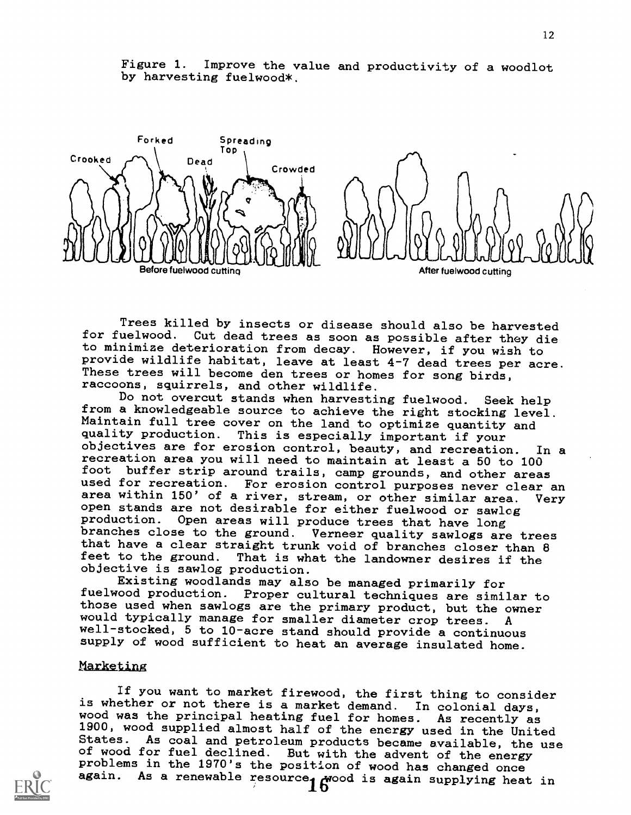

Figure 1. Improve the value and productivity of a woodlot by harvesting fuelwood\*.

Trees killed by insects or disease should also be harvested for fuelwood. Cut dead trees as soon as possible after they die to minimize deterioration from decay. However, if you wish to provide wildlife habitat, leave at least 4-7 dead trees per acre. These trees will become den trees or homes for song birds,

raccoons, squirrels, and other wildlife.<br>Do not overcut stands when harvesting fuelwood. Do not overcut stands when harvesting fuelwood. Seek help<br>from a knowledgeable source to achieve the right stocking level.<br>Maintain full tree cover on the land to optimize quantity and<br>quality production. This is especiall objectives are for erosion control, beauty, and recreation. In a recreation area you will need to maintain at least a 50 to 100 foot buffer strip around trails, camp grounds, and other areas used for recreation. For erosion control purposes never clear an area within 150' of a river, stream, or other similar area. Very open stands are not desirable for either fuelwood or sawleg<br>production. Open areas will produce trees that have long branches close to the ground. Verneer quality sawlogs are trees that have a clear straight trunk void of branches closer than 8 feet to the ground. That is what the landowner desires if the That is what the landowner desires if the objective is sawlog production.

Existing woodlands may also be managed primarily for fuelwood production. Proper cultural techniques are similar to those used when sawlogs are the primary product, but the owner would typically manage for smaller diameter crop trees. A well-stocked, 5 to 10-acre stand should provide a continuous supply of wood sufficient to heat an average insulated home.

#### Narketing

If you want to market firewood, the first thing to consider<br>is whether or not there is a market demand. In colonial days, wood was the principal heating fuel for homes. As recently as<br>1900, wood supplied almost half of the energy used in the United<br>States. As coal and petroleum products became available, the use of wood for fuel declined. But with the advent of the energy problems in the 1970's the position of wood has changed once again. As a renewable resource  $\int_{0}^{\infty}$   $\int_{0}^{\infty}$  again supplying heat in

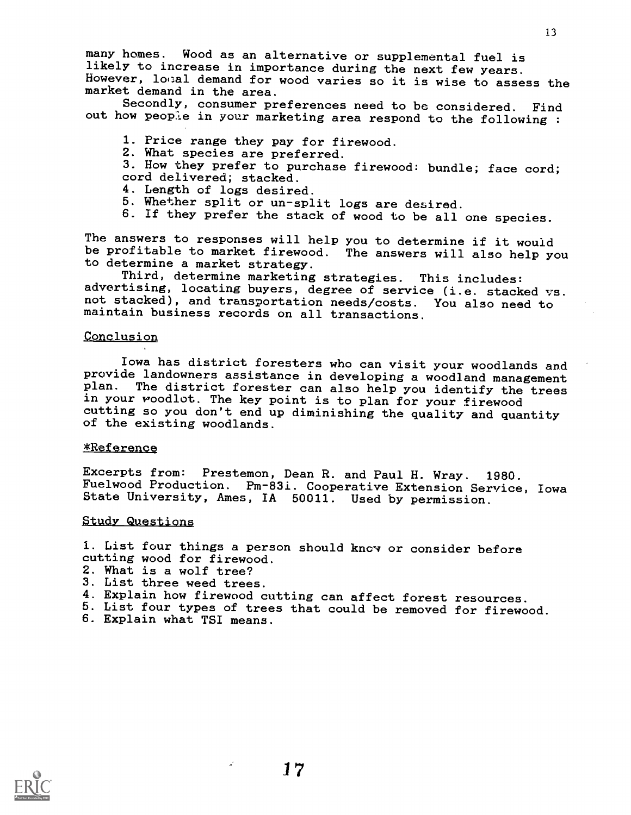many homes. Wood as an alternative or supplemental fuel is likely to increase in importance during the next few years. However, lotal demand for wood varies so it is wise to assess the market demand in the area.

Secondly, consumer preferences need to be considered. Find out how people in your marketing area respond to the following :

- 1. Price range they pay for firewood.
- 2. What species are preferred.
- 3. How they prefer to purchase firewood: bundle; face cord; cord delivered; stacked.
- 4. Length of logs desired.
- 5. Whether split or un-split logs are desired.
- 6. If they prefer the stack of wood to be all one species.

The answers to responses will help you to determine if it would be profitable to market firewood. The answers will also help you to determine a market strategy.

Third, determine marketing strategies. This includes:<br>advertising, locating buyers, degree of service (i.e. stacked vs. not stacked), and transportation needs/costs. You also need to maintain business records on all transactions.

#### Conclusion

Iowa has district foresters who can visit your woodlands and provide landowners assistance in developing a woodland management<br>plan. The district forester can also help you identify the trees in your woodlot. The key point is to plan for your firewood cutting so you don't end up diminishing the quality and quantity of the existing woodlands.

#### \*Reference

Excerpts from: Prestemon, Dean R. and Paul H. Wray. 1980. Fuelwood Production. Pm-83i. Cooperative Extension Service, Iowa State University, Ames, IA 50011. Used by permission.

#### Studv Questions

1. List four things a person should know or consider before cutting wood for firewood.

- 2. What is a wolf tree?
- 3. List three weed trees.
- 4. Explain how firewood cutting can affect forest resources.
- 5. List four types of trees that could be removed for firewood.
- 6. Explain what TSI means.



 $\mathcal{L}$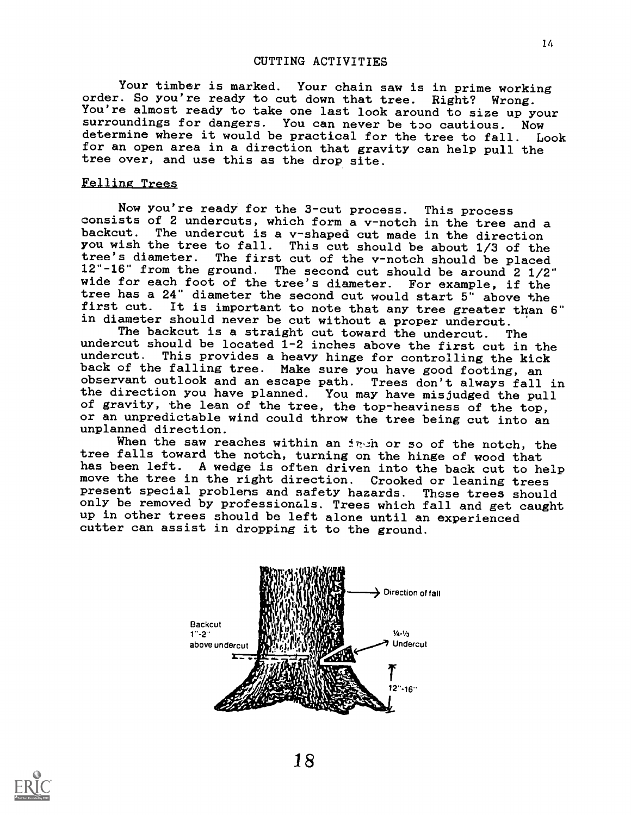Your timber is marked. Your chain saw is in prime working order. So you're ready to cut down that tree. Right? Wrong. You're almost ready to take one last look around to size up your surroundings for dangers. You can never be too cautious. Now determine where it would be practical for the tree to fall. Look for an open area in a direction that gravity can help pull the tree over, and use this as the drop site.

#### Felling Trees

Now you're ready for the 3-cut process. This process consists of 2 undercuts, which form a v-notch in the tree and a backcut. The undercut is a v-shaped cut made in the direction you wish the tree to fall. This cut should be about 1/3 of the tree's diameter. The first cut of the v-notch should be placed 12"-16" from the ground. The second cut should be around 2 1/2" wide for each foot of the tree's diameter. For example, if the tree has a 24" diameter the second cut would start 5" above the first cut. It is important to note that any tree greater than 6" in diameter should never be cut without a proper undercut.

The backcut is a straight cut toward the undercut. The undercut should be located  $1-2$  inches above the first cut in the undercut. This provides a heavy hinge for controlling the kick This provides a heavy hinge for controlling the kick back of the falling tree. Make sure you have good footing, an observant outlook and an escape path. Trees don't always fall in the direction you have planned. You may have misjudged the pull of gravity, the lean of the tree, the top-heaviness of the top, or an unpredictable wind could throw the tree being cut into an unplanned direction.

When the saw reaches within an in in or so of the notch, the tree falls toward the notch, turning on the hinge of wood that has been left. A wedge is often driven into the back cut to help move the tree in the right direction. Crooked or leaning trees present special problems and safety hazards. These trees should present special problems and safety hazards. only be removed by professionals. Trees which fall and get caught up in other trees should be left alone until an experienced cutter can assist in dropping it to the ground.



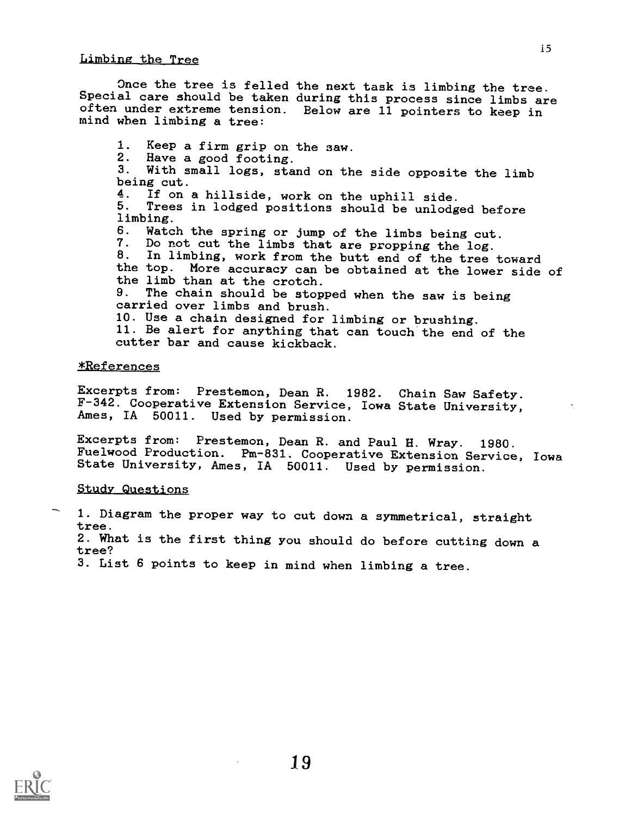#### Limbina the Tree

Once the tree is felled the next task is limbing the tree. Special care should be taken during this process since limbs are often under extreme tension. Below are 11 pointers to keep in mind when limbing a tree:

1. Keep a firm grip on the saw.<br>2. Have a good footing 2. Have a good footing.<br>3. With small logs, sta With small logs, stand on the side opposite the limb being cut.<br>4. If on 4. If on a hillside, work on the uphill side.<br>5. Trees in lodged positions should be unlodge Trees in lodged positions should be unlodged before limbing. 6. Watch the spring or jump of the limbs being cut.<br>7. Do not cut the limbs that are propping the log. 7. Do not cut the limbs that are propping the  $log.$ <br>8. In limbing, work from the butt end of the tree In limbing, work from the butt end of the tree toward the top. More accuracy can be obtained at the lower side of the limb than at the crotch.<br>9. The chain should be stop The chain should be stopped when the saw is being carried over limbs and brush. 10. Use a chain designed for limbing or brushing. 11. Be alert for anything that can touch the end of the cutter bar and cause kickback.

#### \*References

Excerpts from: Prestemon, Dean R. 1982. Chain Saw Safety. F-342. Cooperative Extension Service, Iowa State University, Ames, IA 50011. Used by permission.

Excerpts from: Prestemon, Dean R. and Paul H. Wray. 1980. Fuelwood Production. Pm-831. Cooperative Extension Service, Iowa State University, Ames, IA 50011. Used by permission.

#### **Study Questions**

1. Diagram the proper way to cut down a symmetrical, straight tree. 2. What is the first thing you should do before cutting down a tree? 3. List 6 points to keep in mind when limbing a tree.

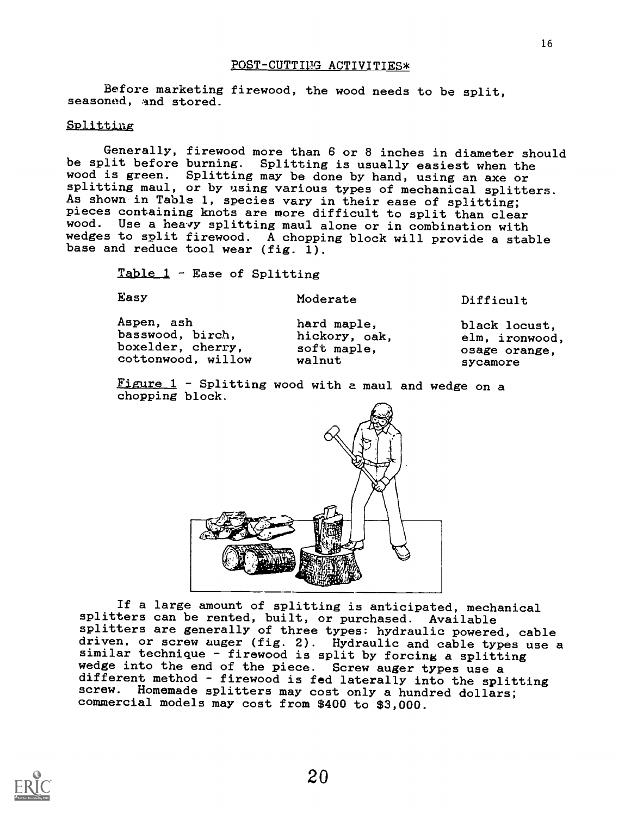#### POST-CUTTING ACTIVITIES\*

Before marketing firewood, the wood needs to be split, seasoned, and stored.

#### Splittiag

Generally, firewood more than 6 or 8 inches in diameter should be split before burning. Splitting is usually easiest when the wood is green. Splitting may be done by hand, using an axe or splitting maul, or by using various types of mechanical splitters. As shown in Table 1, species vary in their ease of splitting; pieces containing knots are more difficult to split than clear wood. Use a heavy splitting maul alone or in combination with wedges to split firewood. A chopping block will provide a stable base and reduce tool wear (fig. 1).

Table  $1$  - Ease of Splitting

Easy

Moderate

Difficult

| Aspen, ash         | hard maple,   | black locust,  |  |
|--------------------|---------------|----------------|--|
| basswood, birch,   | hickory, oak, | elm, ironwood, |  |
| boxelder, cherry,  | soft maple,   | osage orange.  |  |
| cottonwood, willow | walnut        | sycamore       |  |

Figure 1 - Splitting wood with a maul and wedge on a chopping block.



If a large amount of splitting is anticipated, mechanical splitters can be rented, built, or purchased. Available splitters are generally of three types: hydraulic powered, cable driven, or screw auger (fig. 2). Hydraulic and cable types use a similar technique - firewood is split by forcing a splitting wedge into the end of the piece. Screw auger types use a different method - firewood is fed laterally into the splitting screw. Homemade splitters may cost only a hundred dollars; commercial models may cost from \$400 to \$3,000.

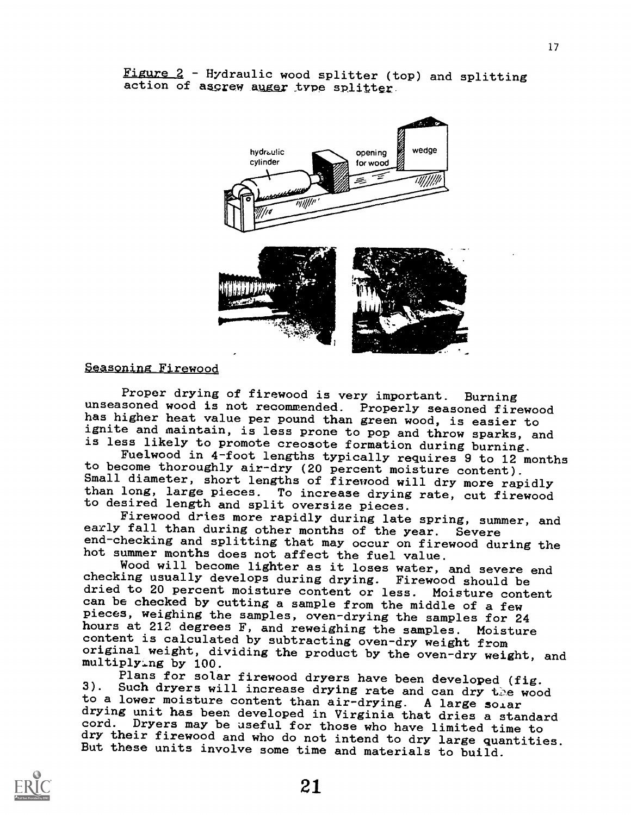

Figure 2 - Hydraulic wood splitter (top) and splitting action of ascrew auger type splitter.

Seasoning\_Firewood

Proper drying of firewood is very important. Burning unseasoned wood is not recommended. Properly seasoned firewood has higher heat value per pound than green wood, is easier to ignite and maintain, is less prone to pop and throw sparks, and<br>is less likely to promote creosote formation during burning.

Fuelwood in 4-foot lengths typically requires 9 to 12 months to become thoroughly air-dry (20 percent moisture content). Small diameter, short lengths of firewood will dry more rapidly than long, large pieces. To increase drying rate, cut firewood to desired length and split oversize pieces.<br>Firewood dries more rapidly during late spring, summer, and

early fall than during other months of the year. Severe end-checking and splitting that may occur on firewood during the hot summer months does not affect the fuel value.

Wood will become lighter as it loses water, and severe end checking usually develops during drying. Firewood should be dried to 20 percent moisture content or less. Moisture content can be checked by cutting a sample from the middle of a few pieces, weighing the samples, oven-drying the samples for 24 hours at 212 degrees F, and reweighing the samples. Moisture content is calculated by subtracting oven-dry weight from original weight, dividing the product by the oven-dry weight, and multiplying by 100.

Plans for solar firewood dryers have been developed (fig. 3). Such dryers will increase drying rate and can dry the wood<br>to a lower moisture content than air-drying. A large solar<br>drying unit has been developed in Virginia that dries a standard cord. Dryers may be useful for those who have limited time to<br>dry their firewood and who do not intend to dry large quantities. But these units involve some time and materials to build.

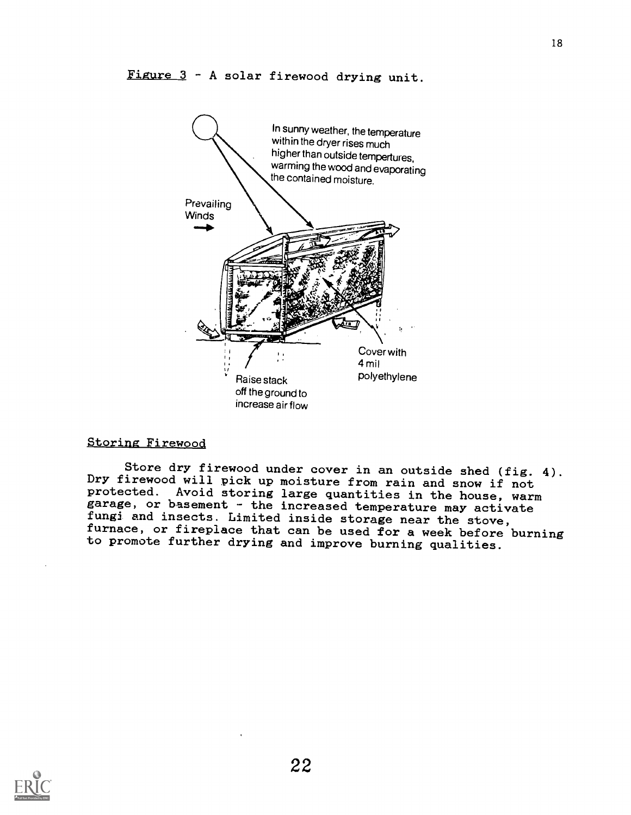

#### Storing Firewood

Store dry firewood under cover in an outside shed (fig. 4). Dry firewood will pick up moisture from rain and snow if not garage, or basement - the increased temperature may activate<br>fungi and insects. Limited inside storage near the stove,<br>furnace, or fireplace that can be used for a week before burning to promote further drying and improve burning qualities.

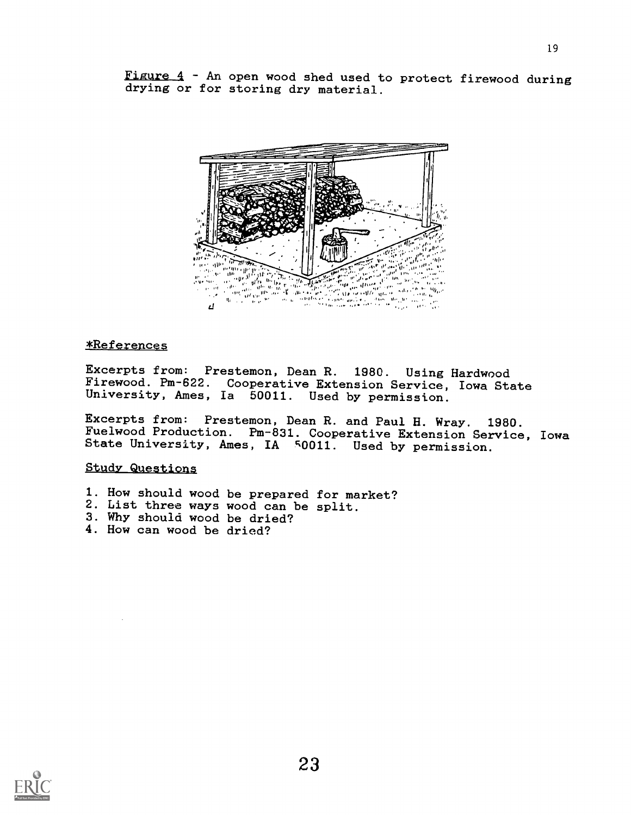Figure 4 - An open wood shed used to protect firewood during drying or for storing dry material.



#### \*References

Excerpts from: Prestemon, Dean R. 1980. Using Hardwood Firewood. Pm-622. Cooperative Extension Service, Iowa State University, Ames, Ia 50011. Used by permission.

Excerpts from: Prestemon, Dean R. and Paul H. Wray. 1980. Fuelwood Production. Pm-831. Cooperative Extension Service, Iowa State University, Ames, IA 50011. Used by permission.

#### Study Questions

- 1. How should wood be prepared for market?
- 2. List three ways wood can be split.
- 3. Why should wood be dried?
- 4. How can wood be dried?

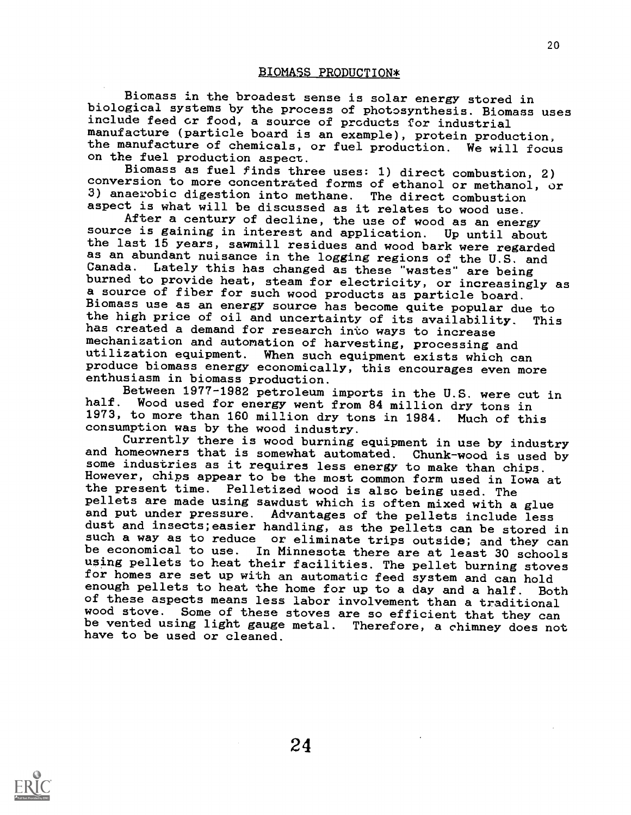Biomass in the broadest sense is solar energy stored in biological systems by the process of photosynthesis. Biomass uses include feed or food, a source of products for industrial the manufacture of chemicals, or fuel production. We will focus

on the fuel production aspect.<br>Biomass as fuel finds three uses: 1) direct combustion, 2) conversion to more concentrated forms of ethanol or methanol, or 3) anaerobic digestion into methane. The direct combustion aspect is what will be discussed as it relates to wood use.

After a century of decline, the use of wood as an energy source is gaining in interest and application. Up until about the last 15 years, sawmill residues and wood bark were regarded as an abundant nuisance in the logging regions of the U.S. and<br>Canada. Lately this has changed as these "wastes" are being Canada. Lately this has changed as these "wastes" are being<br>burned to provide heat, steam for electricity, or increasingly as a source of fiber for such wood products as particle board.<br>Biomass use as an energy source has become quite popular due to the high price of oil and uncertainty of its availability. This has created a demand for research into ways to increase mechanization and automation of harvesting, processing and utilization equipment. When such equipment exists which can produce biomass energy economically, this encourages even more enthusiasm in biomass production.

Between 1977-1982 petroleum imports in the U.S. were cut in half. Wood used for energy went from 84 million dry tons in Wood used for energy went from 84 million dry tons in 1973, to more than 160 million dry tons in 1984. Much of this

consumption was by the wood industry. and homeowners that is somewhat automated. Chunk-wood is used by some industries as it requires less energy to make than chips. However, chips appear to be the most common form used in Iowa at the present time. Pelletized wood is also being used. The pellets are made using sawdust which is often mixed with a glue and put under pressure. Advantages of the pellets include less dust and insects;easier handling, as the pellets can be stored in such a way as to reduce or eliminate trips outside; and they can<br>be economical to use. In Minnesota there are at least 30 schools be economical to use. In Minnesota there are at least 30 schools<br>using pellets to heat their facilities. The pellet burning stoves for homes are set up with an automatic feed system and can hold enough pellets to heat the home for up to a day and a half. Both of these aspects means less labor involvement than a traditional<br>wood stove. Some of these stoves are so efficient that they can be vented using light gauge metal. Therefore, a chimney does not have to be used or cleaned.

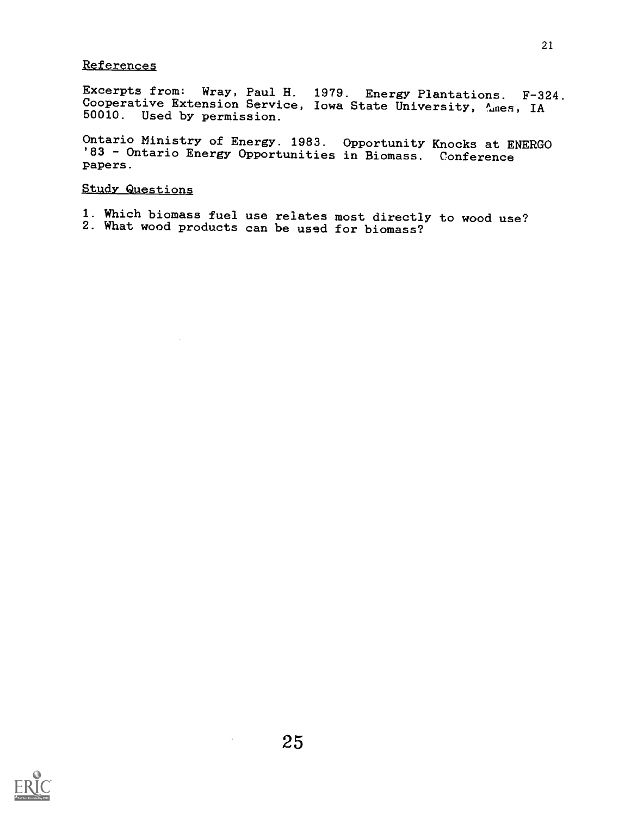#### Referencez

Excerpts from: Wray, Paul H. 1979. Energy Plantations. F-324. Cooperative Extension Service, Iowa State University, Ames, IA 50010. Used by permission.

Ontario Ministry of Energy. 1983. Opportunity Knocks at ENERGO '83 - Ontario Energy Opportunities in Biomass. Conference papers.

#### Study Questions

1. Which biomass fuel use relates most directly to wood use? 2. What wood products can be used for biomass?



 $\mathcal{L}$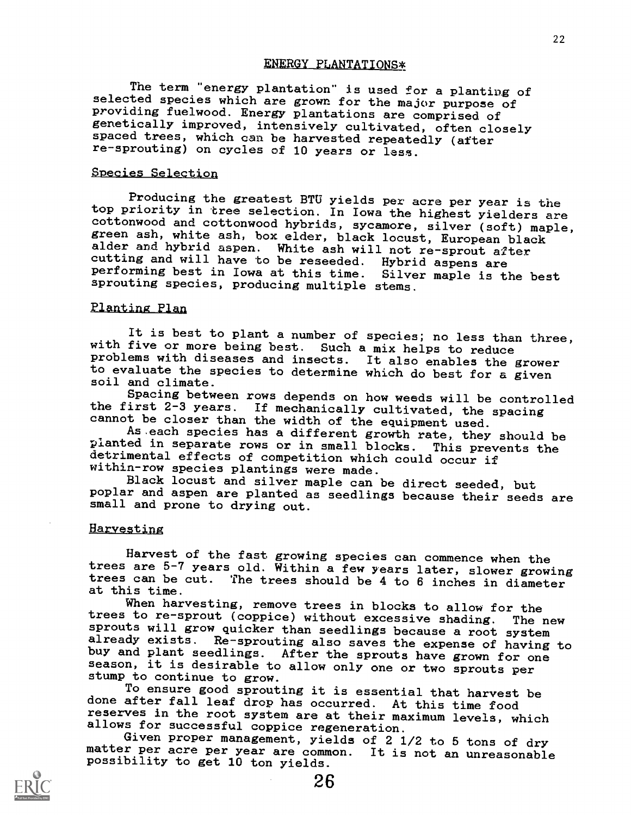#### ENERGY PLANTATIONS\*

The term "energy plantation" is used for a planting of selected species which are grown for the major purpose of providing fuelwood. Energy plantations are comprised of penetically improved, intensively cultivated, often closely spaced trees, which can be harvested repeatedly (after re-sprouting) on cycles of 10 years or less.

#### Species Selection

Producing the greatest BTU yields per acre per year is the<br>top priority in tree selection. In Iowa the highest yielders are cottonwood and cottonwood hybrids, sycamore, silver (soft) maple, green ash, white ash, box elder, black locust, European black alder and hybrid aspen. White ash will not re-sprout after cutting and will have to be reseeded. Hybrid aspens are performing best in Iowa at this time. Silver maple is the best sprouting species, producing multiple stems.

#### Planting Plan

It is best to plant a number of species; no less than three, with five or more being best. Such a mix helps to reduce problems with diseases and insects. It also enables the grower to evaluate the species to determine which do best for a given soil and climate.

Spacing between rows depends on how weeds will be controlled the first  $2-3$  years. If mechanically cultivated, the spacing cannot be closer than the width of the equipment used.

As each species has a different growth rate, they should be<br>planted in separate rows or in small blocks. This prevents the<br>detrimental effects of competition which could occur if within-row species plantings were made.

Black locust and silver maple can be direct seeded, but poplar and aspen are planted as seedlings because their seeds are small and prone to drying out.

#### **Harvesting**

Harvest of the fast growing species can commence when the trees are 5-7 years old. Within a few years later, slower growing trees can be cut. The trees should be 4 to 6 inches in diameter<br>at this time.<br>When harvesting, remove trees in blocks to allow for the

trees to re-sprout (coppice) without excessive shading. The new sprouts will grow quicker than seedlings because a root system<br>already exists. Re-sprouting also saves the expense of having to buy and plant seedlings. After the sprouts have grown for one season, it is desirable to allow only one or two sprouts per stump to continue to grow.

To ensure good sprouting it is essential that harvest be done after fall leaf drop has occurred. At this time food reserves in the root system are at their maximum levels, which allows for successful coppice regeneration.

Given proper management, yields of 2 1/2 to 5 tons of dry matter per acre per year are common. It is not an unreasonable possibility to get 10 ton yields.

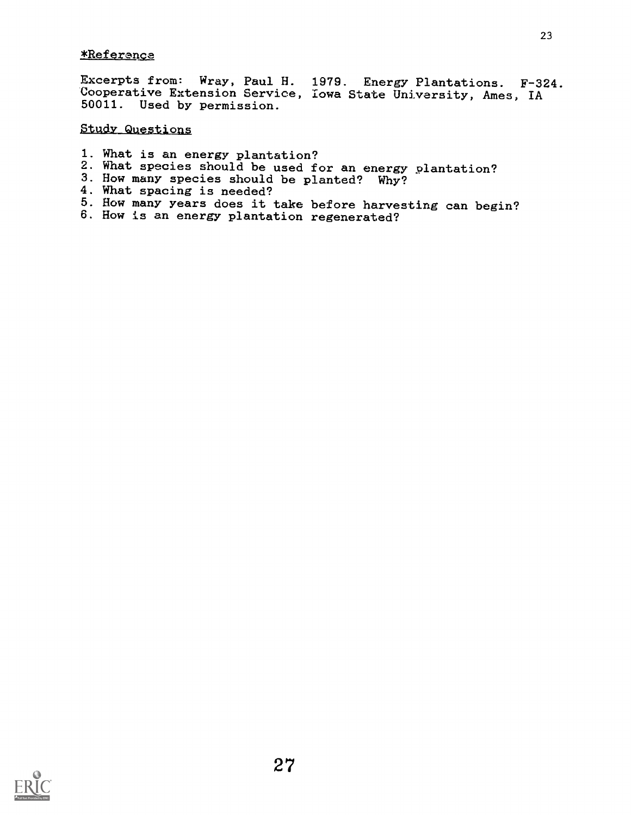#### \*Referenga

Excerpts from: Wray, Paul H. 1979. Energy Plantations. F-324. Cooperative Extension Service, Iowa State University, Ames, IA 50011. Used by permission.

#### Study Questions

- 1. What is an energy plantation?
- 2. What species should be used for an energy plantation?
- 3. How many species should be planted? Why?
- 4. What spacing is needed?
- 5. How many years does it take before harvesting can begin? 6. How is an energy plantation regenerated?
- 

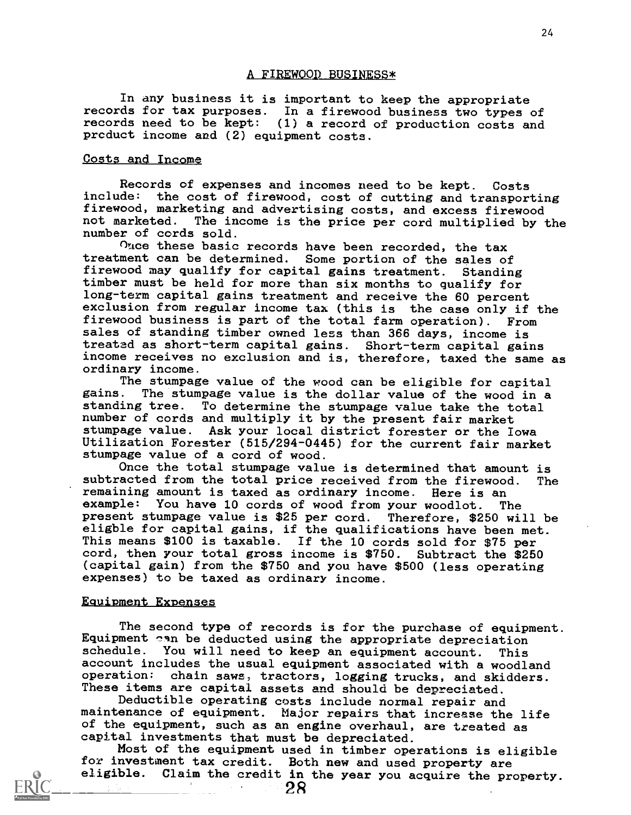#### A FIREWOOD BUSINESS\*

In any business it is important to keep the appropriate records for tax purposes. In a firewood business two types of records need to be kept: (1) a record of production costs and product income and (2) equipment costs.

#### Costs and Income

Records of expenses and incomes need to be kept. Costs include: the cost of firewood, cost of cutting and transporting firewood, marketing and advertising costs, and excess firewood not marketed. The income is the price per cord multiplied by The income is the price per cord multiplied by the number of cords sold.

Once these basic records have been recorded, the tax treatment can be determined. Some portion of the sales of firewood may qualify for capital gains treatment. Standing timber must be held for more than six months to qualify for long-term capital gains treatment and receive the 60 percent exclusion from regular income tax (this is the case only if the firewood business is part of the total farm operation). From sales of standing timber owned less than 366 days, income is treatad as short-term capital gains. Short-term capital gains income receives no exclusion and is, therefore, taxed the same as ordinary income.

The stumpage value of the wood can be eligible for capital<br>gains. The stumpage value is the dollar value of the wood in a The stumpage value is the dollar value of the wood in a standing tree. To determine the stumpage value take the total number of cords and multiply it by the present fair market stumpage value. Ask your local district forester or the Iowa Utilization Forester (515/294-0445) for the current fair market stumpage value of a cord of wood.

Once the total stumpage value is determined that amount is subtracted from the total price received from the firewood. The remaining amount is taxed as ordinary income. Here is an example: You have 10 cords of wood from your woodlot. The present stumpage value is \$25 per cord. Therefore, \$250 will be eligble for capital gains, if the qualifications have been met. This means \$100 is taxable. If the 10 cords sold for \$75 per cord, then your total gross income is \$750. Subtract the \$250 (capital gain) from the \$750 and you have \$500 (less operating expenses) to be taxed as ordinary income.

#### Equipment Expenses

The second type of records is for the purchase of equipment. Equipment can be deducted using the appropriate depreciation schedule. You will need to keep an equipment account. This You will need to keep an equipment account. This account includes the usual equipment associated with a woodland operation: chain saws, tractors, logging trucks, and skidders. These items are capital assets and should be depreciated.

Deductible operating costs include normal repair and maintenance of equipment. Major repairs that increase the life of the equipment, such as an engine overhaul, are treated as capital investments that must be depreciated.

Most of the equipment used in timber operations is eligible for investment tax credit. Both new and used property are eligible. Claim the credit in the year you acquire the property.

2R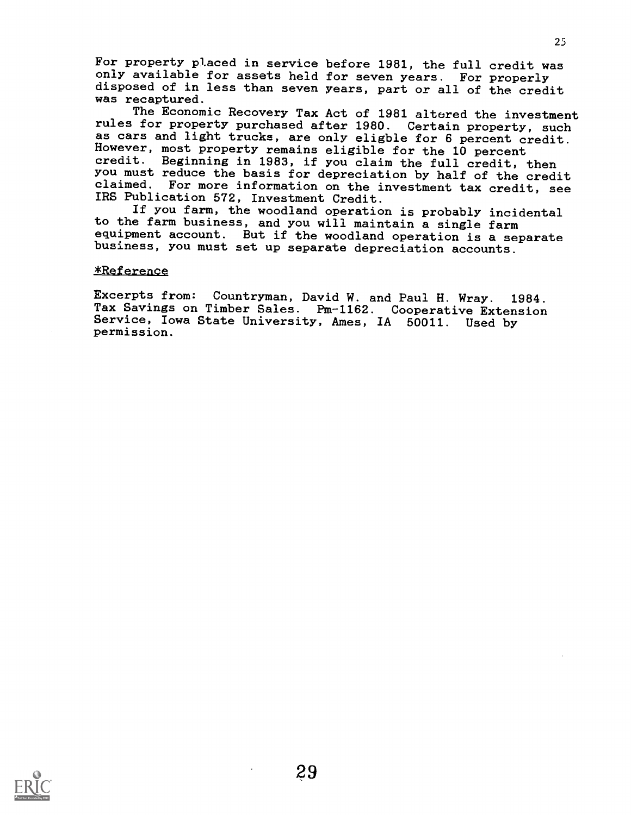For property placed in service before 1981, the full credit was only available for assets held for seven years. For properly disposed of in less than seven years, part or all of the credit was recaptured.

The Economic Recovery Tax Act of 1981 altered the investment rules for property purchased after 1980. Certain property, such as cars and light trucks, are only eligble for 6 percent credit. However, most property remains eligible for the 10 percent credit. Beginning in 1983, if you claim the full credit, then you must reduce the basis for depreciation by half of the credit claimed. For more information on the investment tax credit, see IRS Publication 572, Investment Credit.

If you farm, the woodland operation is probably incidental to the farm business, and you will maintain a single farm equipment account. But if the woodland operation is a separate business, you must set up separate depreciation accounts.

#### \*Reference

Excerpts from: Countryman, David W. and Paul H. Wray. 1984. Tax Savings on Timber Sales. Pm-1162. Cooperative Extension Service, Iowa State University, Ames, IA 50011. Used by permission.

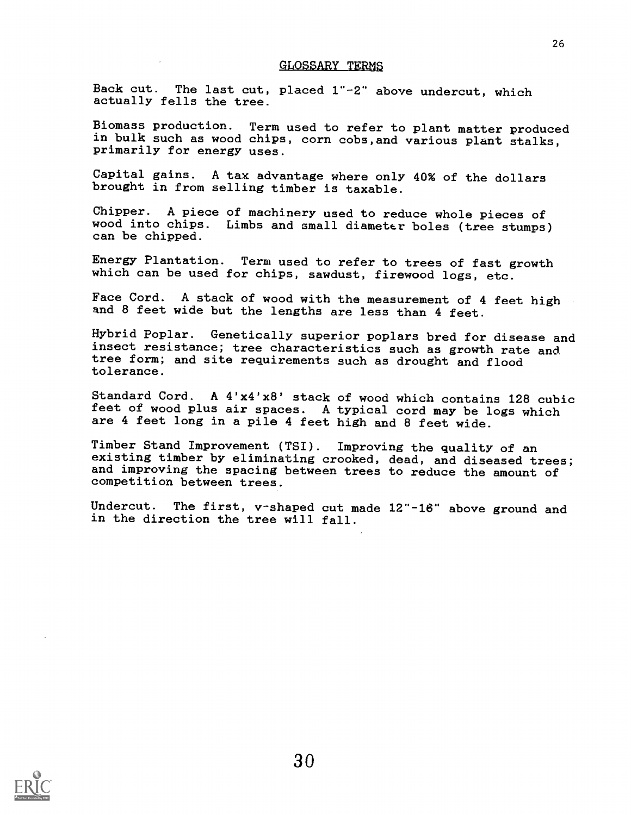#### GLOSSARY TERMS

Back cut. The last cut, placed 1"-2" above undercut, which actually fells the tree.

Biomass production. Term used to refer to plant matter produced in bulk such as wood chips, corn cobs,and various plant stalks, primarily for energy uses.

Capital gains. A tax advantage where only 40% of the dollars brought in from selling timber is taxable.

Chipper. A piece of machinery used to reduce whole pieces of wood into chips. Limbs and small diameter boles (tree stumps) can be chipped.

Energy Plantation. Term used to refer to trees of fast growth which can be used for chips, sawdust, firewood logs, etc.

Face Cord. A stack of wood with the measurement of 4 feet high and 8 feet wide but the lengths are less than 4 feet.

Hybrid Poplar. Genetically superior poplars bred for disease and insect resistance; tree characteristics such as growth rate and tree form; and site requirements such as drought and flood tolerance.

Standard Cord. A 4'x4'x8' stack of wood which contains 128 cubic feet of wood plus air spaces. A typical cord may be logs which are 4 feet long in a pile 4 feet high and 8 feet wide.

Timber Stand Improvement (TSI). Improving the quality of an existing timber by eliminating crooked, dead, and diseased trees; and improving the spacing between trees to reduce the amount of competition between trees.

Undercut. The first, v-shaped cut made 12"-16" above ground and in the direction the tree will fall.

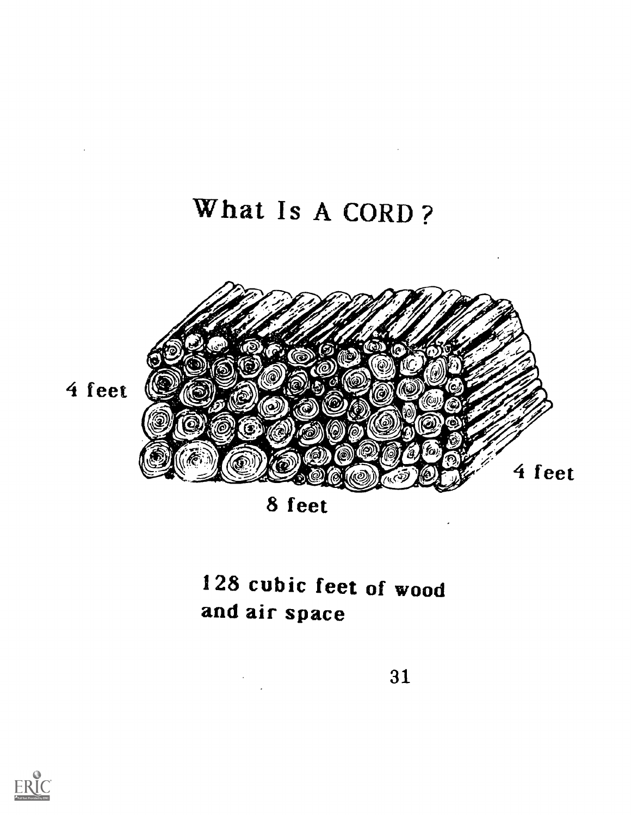### What Is A CORD ?

 $\mathcal{L}^{\text{max}}_{\text{max}}$  .

 $\alpha$ 



8 feet

### 128 cubic feet of wood and air space

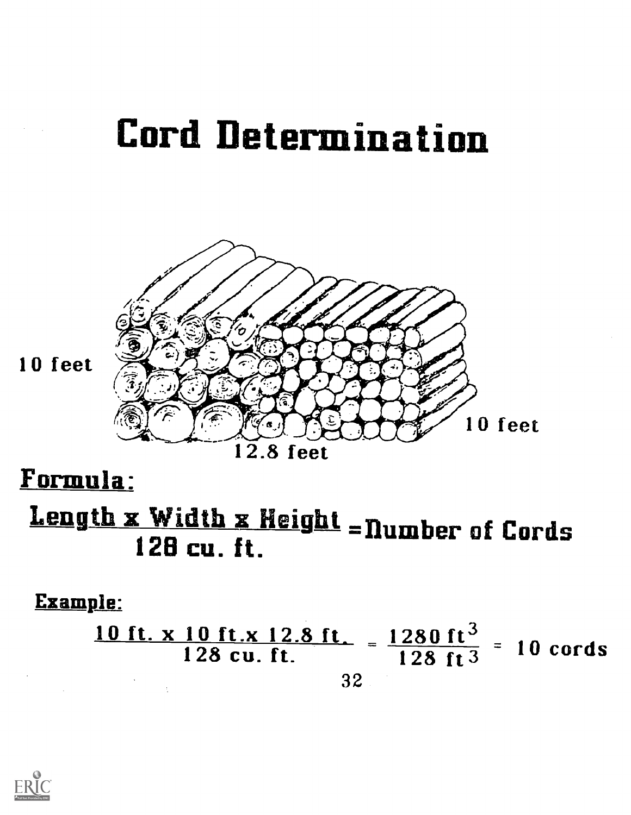## Cord Determination



10 feet

12.8 feet

### Formula:

## Length x Width x Height = Number of Cords  $128$  cu. ft.

### Example:

10 ft. x 10 ft.x 12.8 ft.  $=$  1280 ft<sup>3</sup>  $=$  10 cord  $\frac{10 \text{ Hz}}{128 \text{ cu}}$ . ft.  $\frac{1280 \text{ ft}}{128 \text{ ft}^3}$  = 10 cords 32

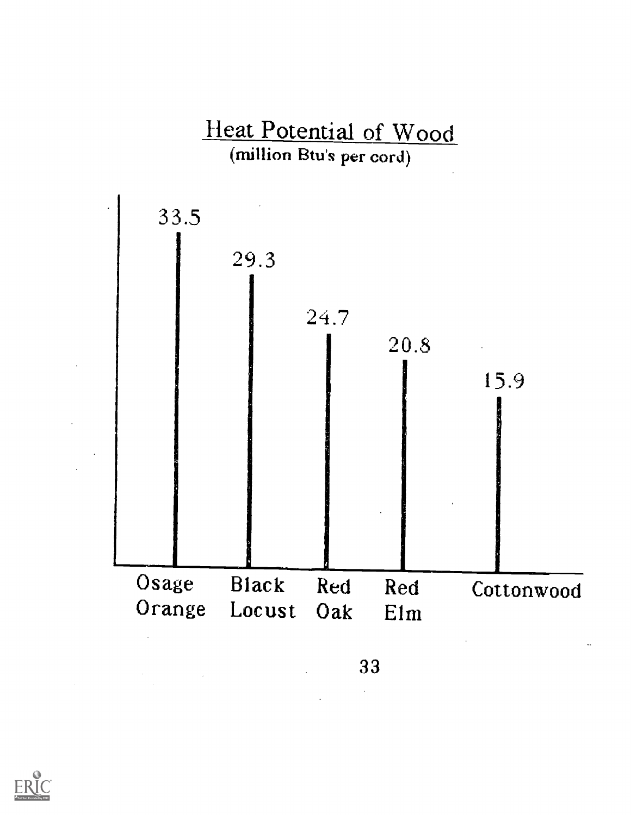



 $\sim 10^{-1}$ 

 $\label{eq:2.1} \frac{1}{\sqrt{2}}\left(\frac{1}{\sqrt{2}}\right)^{2} \left(\frac{1}{\sqrt{2}}\right)^{2} \left(\frac{1}{\sqrt{2}}\right)^{2} \left(\frac{1}{\sqrt{2}}\right)^{2} \left(\frac{1}{\sqrt{2}}\right)^{2} \left(\frac{1}{\sqrt{2}}\right)^{2} \left(\frac{1}{\sqrt{2}}\right)^{2} \left(\frac{1}{\sqrt{2}}\right)^{2} \left(\frac{1}{\sqrt{2}}\right)^{2} \left(\frac{1}{\sqrt{2}}\right)^{2} \left(\frac{1}{\sqrt{2}}\right)^{2} \left(\$ 

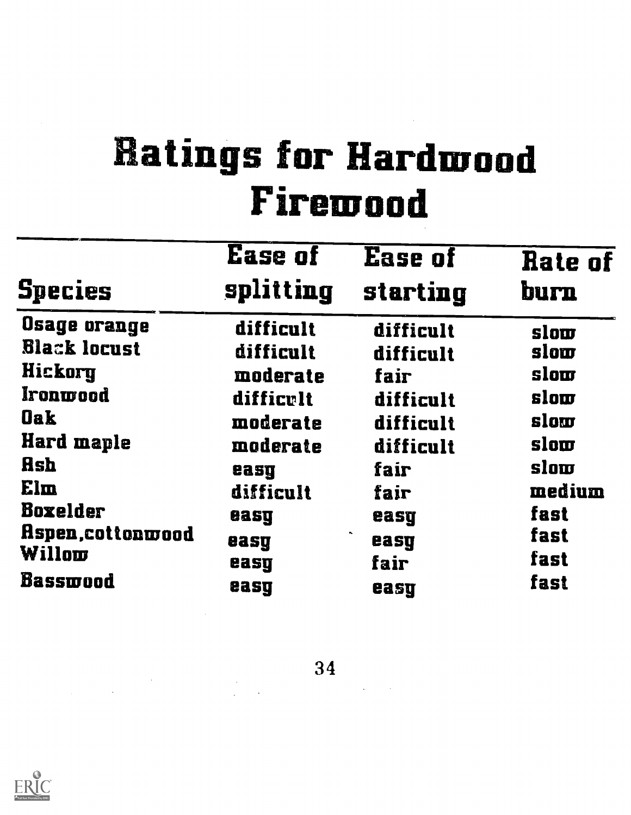# Ratings for Hardwood Firewood

| <b>Species</b>      | <b>Ease of</b><br>splitting | Ease of<br>starting | Rate of<br>burn |
|---------------------|-----------------------------|---------------------|-----------------|
| <b>Osage orange</b> | difficult                   | difficult           | slow            |
| <b>Black locust</b> | difficult                   | difficult           | slow            |
| Hickory             | moderate                    | fair                | slow            |
| <i>Ironwood</i>     | difficult                   | difficult           | slow            |
| <b>Oak</b>          | moderate                    | difficult           | slow            |
| Hard maple          | moderate                    | difficult           | slow            |
| <b>Rsh</b>          | easg                        | fair                | slow            |
| Elm                 | difficult                   | fair                | medium          |
| <b>Boxelder</b>     | easy                        | easg                | fast            |
| Aspen, cottonwood   | easy                        | easy                | fast            |
| Willow              | easy                        | fair                | fast            |
| <b>Basswood</b>     | easg                        | easy                | fast            |

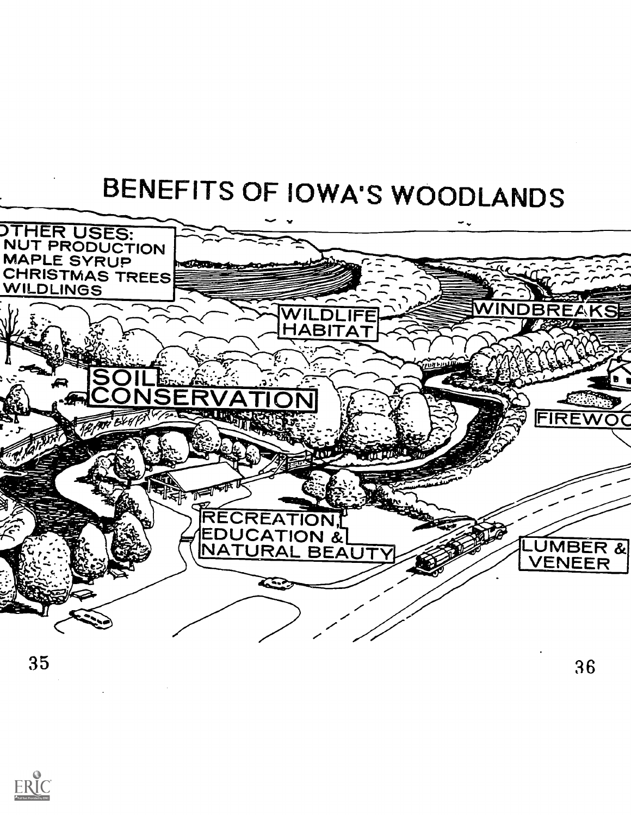## BENEFITS OF IOWA'S WOODLANDS



35

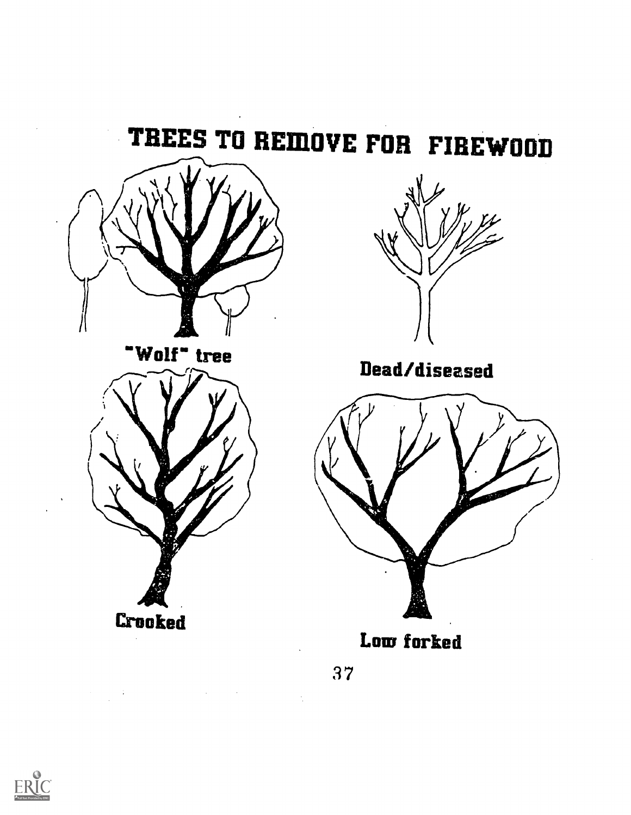

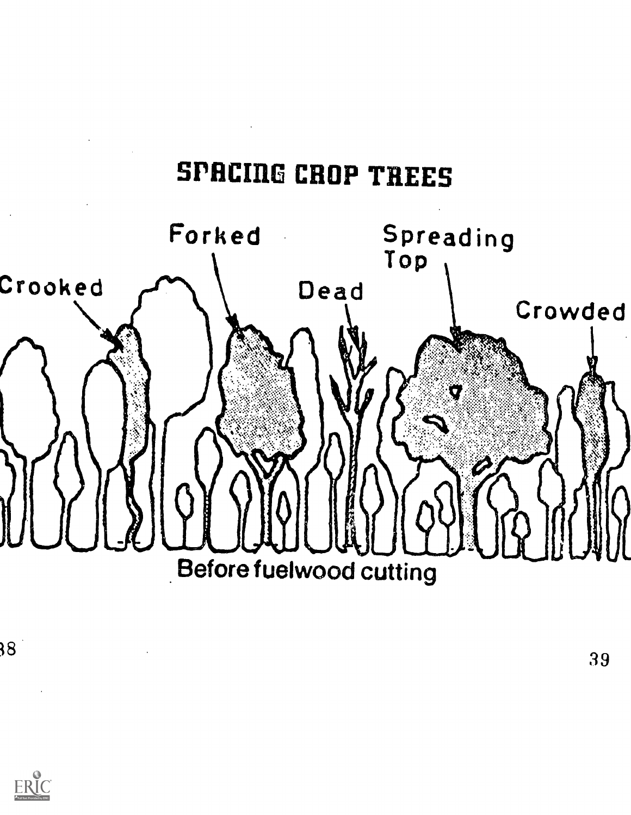### SPACING CROP TREES



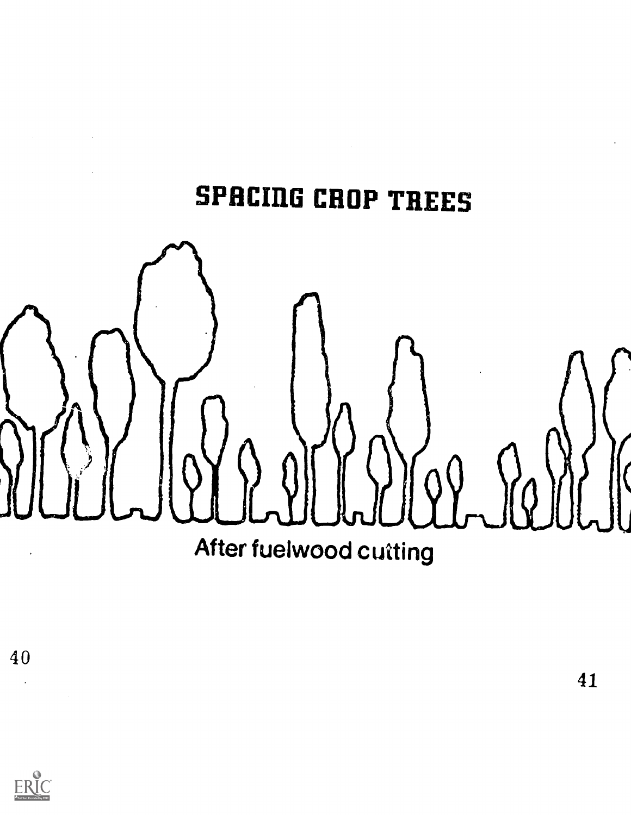## SPACING CROP TREES

 $\sim$ 



40

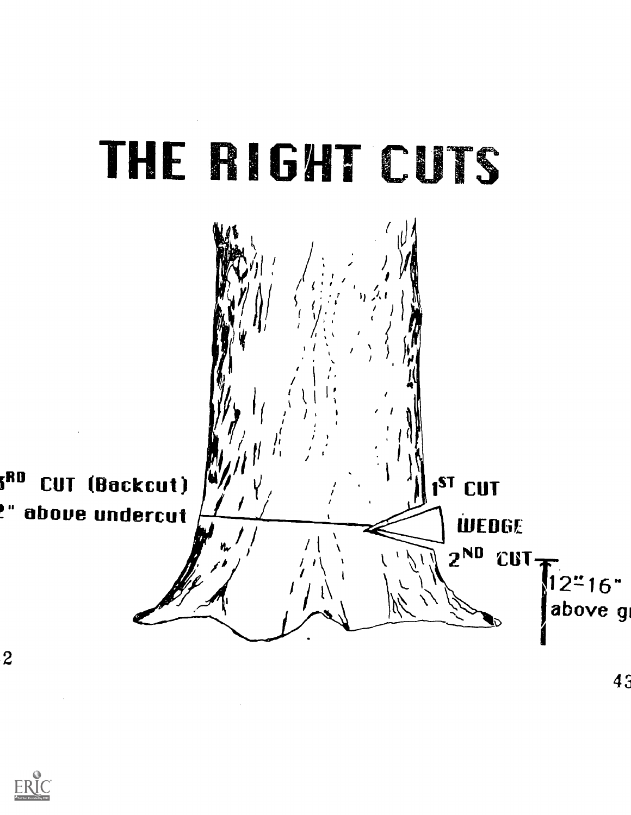



 $\overline{2}$ 

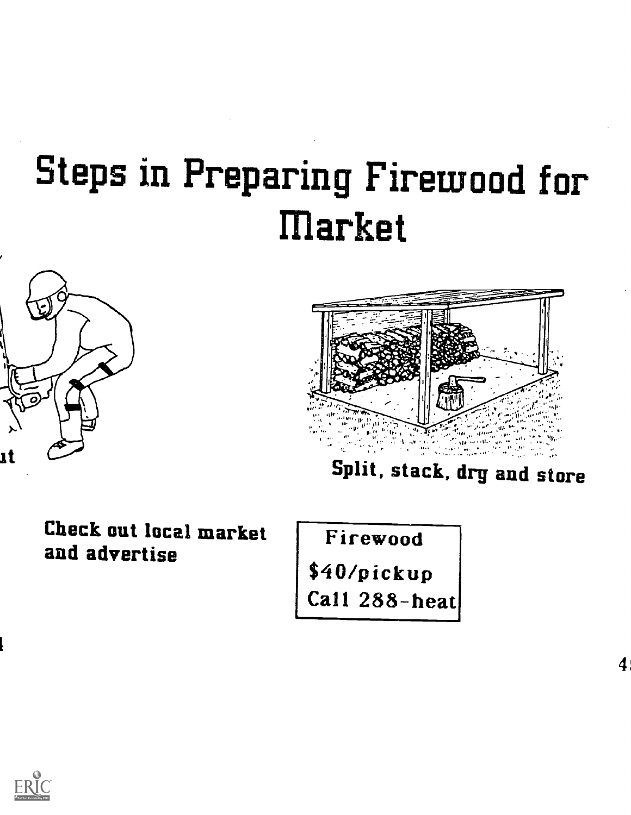# Steps in Preparing Firewood for market





Split, stack, drg and store

Check out local market and advertise

Firewood \$40/pickup Call 288-heat



t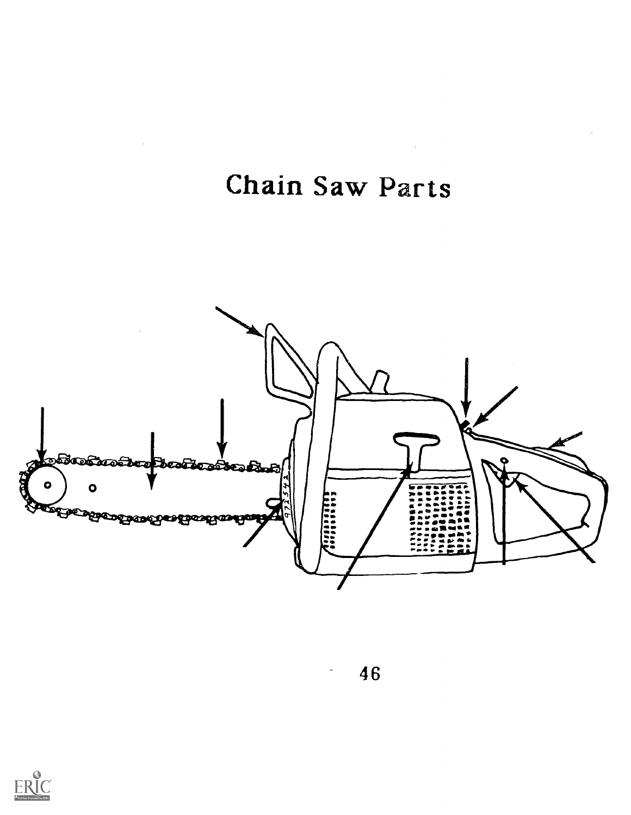Chain Saw Parts

 $\Delta \sim 10$ 



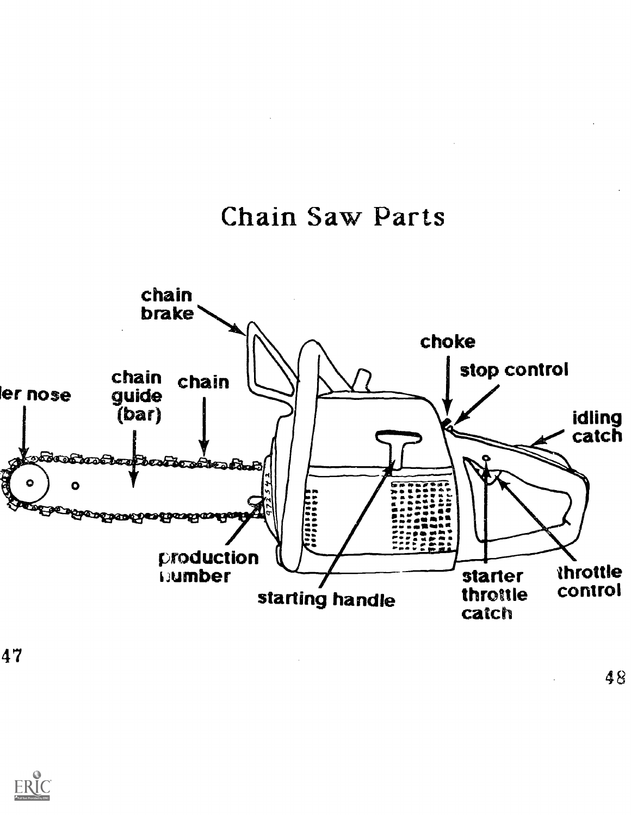



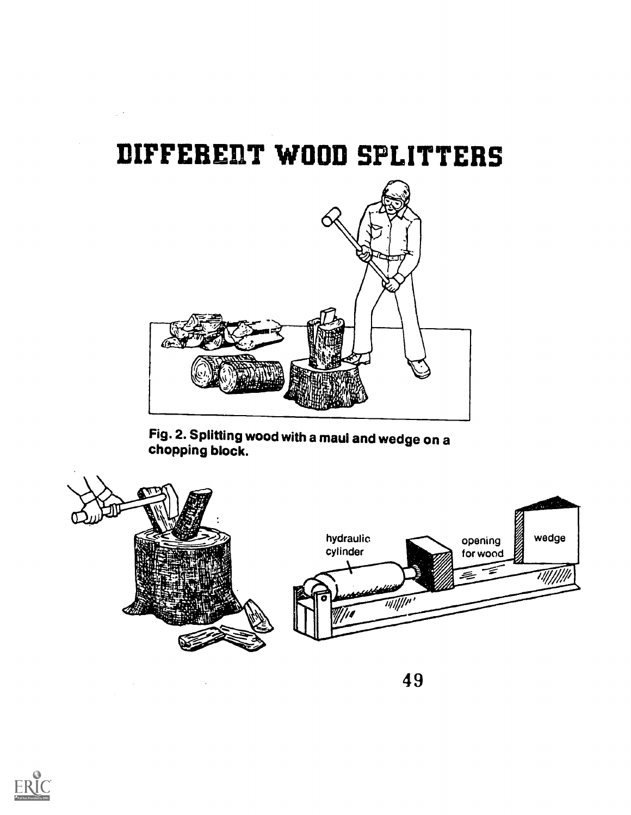### IIIFFEREI1T WOOD SPLITTERS

 $\mathbb{R}^3$ 



Fig. 2. Splitting wood with a maul and wedge on a chopping block.



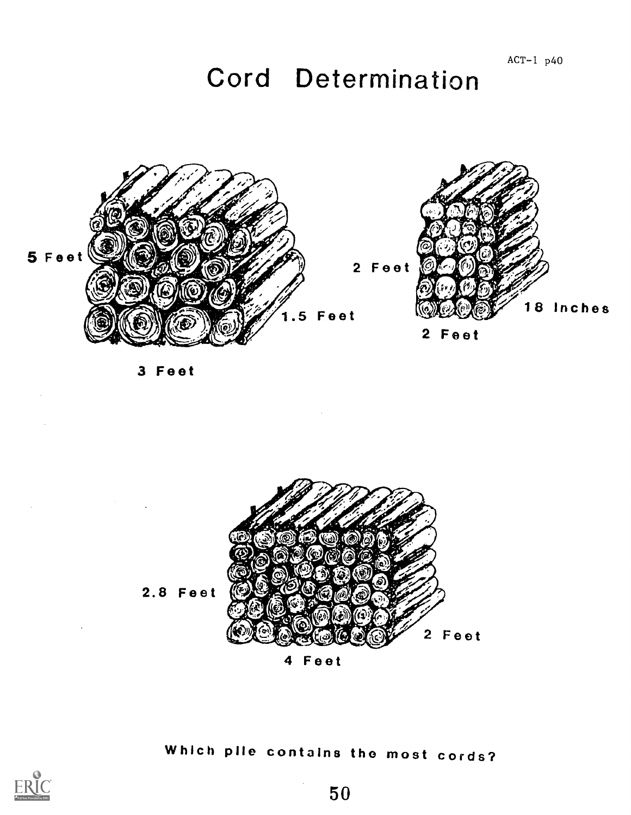## Cord Determination



3 Feet

 $\label{eq:2.1} \frac{1}{2} \int_{\mathbb{R}^3} \frac{d^2\mathbf{r}}{|\mathbf{r}|^2} \, \mathrm{d}\mathbf{r} \, \mathrm{d}\mathbf{r} \, \mathrm{d}\mathbf{r} \, \mathrm{d}\mathbf{r} \, \mathrm{d}\mathbf{r} \, \mathrm{d}\mathbf{r} \, \mathrm{d}\mathbf{r} \, \mathrm{d}\mathbf{r} \, \mathrm{d}\mathbf{r} \, \mathrm{d}\mathbf{r} \, \mathrm{d}\mathbf{r} \, \mathrm{d}\mathbf{r} \, \mathrm{d}\mathbf{r} \, \mathrm{d}\mathbf{r} \,$ 



4 Feet

### Which pile contains the most cords?



 $\label{eq:2.1} \frac{1}{2} \int_{\mathbb{R}^3} \left| \frac{d\mathbf{r}}{d\mathbf{r}} \right|^2 \, d\mathbf{r} \, d\mathbf{r} \, d\mathbf{r} \, d\mathbf{r} \, d\mathbf{r} \, d\mathbf{r} \, d\mathbf{r} \, d\mathbf{r} \, d\mathbf{r} \, d\mathbf{r} \, d\mathbf{r} \, d\mathbf{r} \, d\mathbf{r} \, d\mathbf{r} \, d\mathbf{r} \, d\mathbf{r} \, d\mathbf{r} \, d\mathbf{r} \, d\math$ 

 $\ddot{\phantom{1}}$